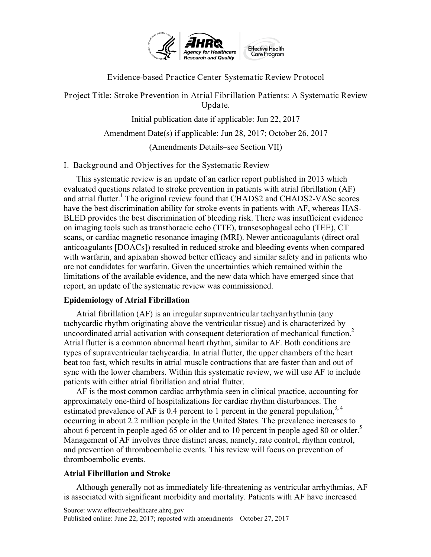

Evidence-based Practice Center Systematic Review Protocol

Project Title: Stroke Prevention in Atrial Fibrillation Patients: A Systematic Review Update.

Initial publication date if applicable: Jun 22, 2017

Amendment Date(s) if applicable: Jun 28, 2017; October 26, 2017

(Amendments Details–see Section VII)

I. Backgr ound and Objectives for the Systematic Review

 on imaging tools such as transthoracic echo (TTE), transesophageal echo (TEE), CT scans, or cardiac magnetic resonance imaging (MRI). Newer anticoagulants (direct oral with warfarin, and apixaban showed better efficacy and similar safety and in patients who are not candidates for warfarin. Given the uncertainties which remained within the This systematic review is an update of an earlier report published in 2013 which evaluated questions related to stroke prevention in patients with atrial fibrillation (AF) and atrial flutter.<sup>1</sup> The original review found that CHADS2 and CHADS2-VASc scores have the best discrimination ability for stroke events in patients with AF, whereas HAS-BLED provides the best discrimination of bleeding risk. There was insufficient evidence anticoagulants [DOACs]) resulted in reduced stroke and bleeding events when compared limitations of the available evidence, and the new data which have emerged since that report, an update of the systematic review was commissioned.

# **Epidemiology of Atrial Fibrillation**

 Atrial flutter is a common abnormal heart rhythm, similar to AF. Both conditions are types of supraventricular tachycardia. In atrial flutter, the upper chambers of the heart Atrial fibrillation (AF) is an irregular supraventricular tachyarrhythmia (any tachycardic rhythm originating above the ventricular tissue) and is characterized by uncoordinated atrial activation with consequent deterioration of mechanical function.<sup>2</sup> beat too fast, which results in atrial muscle contractions that are faster than and out of sync with the lower chambers. Within this systematic review, we will use AF to include patients with either atrial fibrillation and atrial flutter.

 AF is the most common cardiac arrhythmia seen in clinical practice, accounting for about 6 percent in people aged 65 or older and to 10 percent in people aged 80 or older.<sup>5</sup> and prevention of thromboembolic events. This review will focus on prevention of approximately one-third of hospitalizations for cardiac rhythm disturbances. The estimated prevalence of AF is 0.4 percent to 1 percent in the general population,  $3, 4$ occurring in about 2.2 million people in the United States. The prevalence increases to Management of AF involves three distinct areas, namely, rate control, rhythm control, thromboembolic events.

# **Atrial Fibrillation and Stroke**

Although generally not as immediately life-threatening as ventricular arrhythmias, AF is associated with significant morbidity and mortality. Patients with AF have increased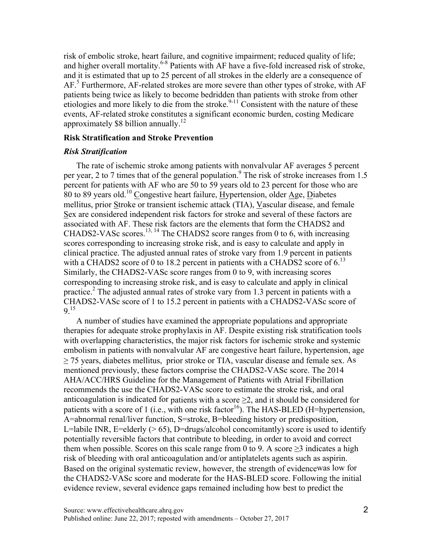approximately \$8 billion annually.<sup>12</sup> risk of embolic stroke, heart failure, and cognitive impairment; reduced quality of life; and higher overall mortality.<sup>6-8</sup> Patients with AF have a five-fold increased risk of stroke, and it is estimated that up to 25 percent of all strokes in the elderly are a consequence of AF.<sup>5</sup> Furthermore, AF-related strokes are more severe than other types of stroke, with AF patients being twice as likely to become bedridden than patients with stroke from other etiologies and more likely to die from the stroke.<sup>9-11</sup> Consistent with the nature of these events, AF-related stroke constitutes a significant economic burden, costing Medicare

#### **Risk Stratification and Stroke Prevention**

### *Risk Stratification*

CHADS2-VASc scores.<sup>13, 14</sup> The CHADS2 score ranges from 0 to 6, with increasing CHADS2-VASc score of 1 to 15.2 percent in patients with a CHADS2-VASc score of The rate of ischemic stroke among patients with nonvalvular AF averages 5 percent per year, 2 to 7 times that of the general population.<sup>9</sup> The risk of stroke increases from 1.5 percent for patients with AF who are 50 to 59 years old to 23 percent for those who are 80 to 89 years old.10 Congestive heart failure, Hypertension, older Age, Diabetes mellitus, prior Stroke or transient ischemic attack (TIA), Vascular disease, and female Sex are considered independent risk factors for stroke and several of these factors are associated with AF. These risk factors are the elements that form the CHADS2 and scores corresponding to increasing stroke risk, and is easy to calculate and apply in clinical practice. The adjusted annual rates of stroke vary from 1.9 percent in patients with a CHADS2 score of 0 to 18.2 percent in patients with a CHADS2 score of  $6<sup>13</sup>$ Similarly, the CHADS2-VASc score ranges from 0 to 9, with increasing scores corresponding to increasing stroke risk, and is easy to calculate and apply in clinical practice.<sup>2</sup> The adjusted annual rates of stroke vary from 1.3 percent in patients with a 9.15

patients with a score of 1 (i.e., with one risk factor<sup>16</sup>). The HAS-BLED (H=hypertension, the CHADS2-VASc score and moderate for the HAS-BLED score. Following the initial evidence review, several evidence gaps remained including how best to predict the A number of studies have examined the appropriate populations and appropriate therapies for adequate stroke prophylaxis in AF. Despite existing risk stratification tools with overlapping characteristics, the major risk factors for ischemic stroke and systemic embolism in patients with nonvalvular AF are congestive heart failure, hypertension, age  $\geq$  75 years, diabetes mellitus, prior stroke or TIA, vascular disease and female sex. As mentioned previously, these factors comprise the CHADS2-VASc score. The 2014 AHA/ACC/HRS Guideline for the Management of Patients with Atrial Fibrillation recommends the use the CHADS2-VASc score to estimate the stroke risk, and oral anticoagulation is indicated for patients with a score  $\geq 2$ , and it should be considered for A=abnormal renal/liver function, S=stroke, B=bleeding history or predisposition, L=labile INR, E=elderly  $(> 65)$ , D=drugs/alcohol concomitantly) score is used to identify potentially reversible factors that contribute to bleeding, in order to avoid and correct them when possible. Scores on this scale range from 0 to 9. A score  $\geq$ 3 indicates a high risk of bleeding with oral anticoagulation and/or antiplatelets agents such as aspirin. Based on the original systematic review, however, the strength of evidencewas low for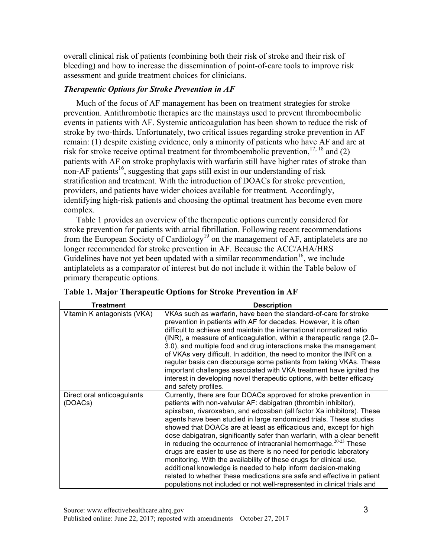overall clinical risk of patients (combining both their risk of stroke and their risk of bleeding) and how to increase the dissemination of point-of-care tools to improve risk assessment and guide treatment choices for clinicians.

### *Therapeutic Options for Stroke Prevention in AF*

 stratification and treatment. With the introduction of DOACs for stroke prevention, Much of the focus of AF management has been on treatment strategies for stroke prevention. Antithrombotic therapies are the mainstays used to prevent thromboembolic events in patients with AF. Systemic anticoagulation has been shown to reduce the risk of stroke by two-thirds. Unfortunately, two critical issues regarding stroke prevention in AF remain: (1) despite existing evidence, only a minority of patients who have AF and are at risk for stroke receive optimal treatment for thromboembolic prevention,  $17, 18$  and (2) patients with AF on stroke prophylaxis with warfarin still have higher rates of stroke than non-AF patients<sup>16</sup>, suggesting that gaps still exist in our understanding of risk providers, and patients have wider choices available for treatment. Accordingly, identifying high-risk patients and choosing the optimal treatment has become even more complex.

Table 1 provides an overview of the therapeutic options currently considered for stroke prevention for patients with atrial fibrillation. Following recent recommendations from the European Society of Cardiology<sup>19</sup> on the management of AF, antiplatelets are no longer recommended for stroke prevention in AF. Because the ACC/AHA/HRS Guidelines have not yet been updated with a similar recommendation<sup>16</sup>, we include antiplatelets as a comparator of interest but do not include it within the Table below of primary therapeutic options.

| <b>Treatment</b>                      | <b>Description</b>                                                                                                                                                                                                                                                                                                                                                                                                                                                                                                                                                                                                                                                                                                                                                                                                                                                               |
|---------------------------------------|----------------------------------------------------------------------------------------------------------------------------------------------------------------------------------------------------------------------------------------------------------------------------------------------------------------------------------------------------------------------------------------------------------------------------------------------------------------------------------------------------------------------------------------------------------------------------------------------------------------------------------------------------------------------------------------------------------------------------------------------------------------------------------------------------------------------------------------------------------------------------------|
| Vitamin K antagonists (VKA)           | VKAs such as warfarin, have been the standard-of-care for stroke<br>prevention in patients with AF for decades. However, it is often<br>difficult to achieve and maintain the international normalized ratio<br>(INR), a measure of anticoagulation, within a therapeutic range (2.0–<br>3.0), and multiple food and drug interactions make the management<br>of VKAs very difficult. In addition, the need to monitor the INR on a<br>regular basis can discourage some patients from taking VKAs. These<br>important challenges associated with VKA treatment have ignited the<br>interest in developing novel therapeutic options, with better efficacy<br>and safety profiles.                                                                                                                                                                                               |
| Direct oral anticoagulants<br>(DOACs) | Currently, there are four DOACs approved for stroke prevention in<br>patients with non-valvular AF: dabigatran (thrombin inhibitor),<br>apixaban, rivaroxaban, and edoxaban (all factor Xa inhibitors). These<br>agents have been studied in large randomized trials. These studies<br>showed that DOACs are at least as efficacious and, except for high<br>dose dabigatran, significantly safer than warfarin, with a clear benefit<br>in reducing the occurrence of intracranial hemorrhage. $20-23$ These<br>drugs are easier to use as there is no need for periodic laboratory<br>monitoring. With the availability of these drugs for clinical use,<br>additional knowledge is needed to help inform decision-making<br>related to whether these medications are safe and effective in patient<br>populations not included or not well-represented in clinical trials and |

|  |  | Table 1. Major Therapeutic Options for Stroke Prevention in AF |  |
|--|--|----------------------------------------------------------------|--|
|  |  |                                                                |  |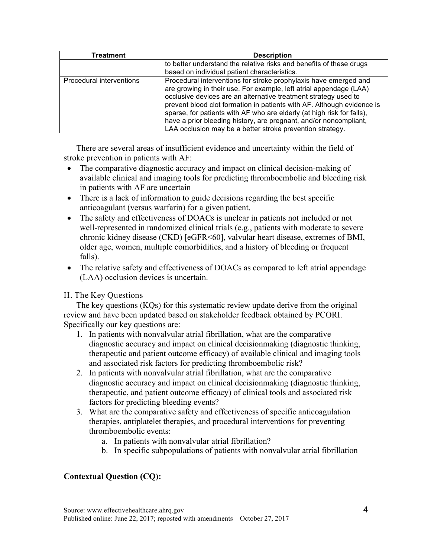| Treatment                | <b>Description</b>                                                                                                                                                                                                                                                                                                                                                                                                                                                                              |
|--------------------------|-------------------------------------------------------------------------------------------------------------------------------------------------------------------------------------------------------------------------------------------------------------------------------------------------------------------------------------------------------------------------------------------------------------------------------------------------------------------------------------------------|
|                          | to better understand the relative risks and benefits of these drugs<br>based on individual patient characteristics.                                                                                                                                                                                                                                                                                                                                                                             |
| Procedural interventions | Procedural interventions for stroke prophylaxis have emerged and<br>are growing in their use. For example, left atrial appendage (LAA)<br>occlusive devices are an alternative treatment strategy used to<br>prevent blood clot formation in patients with AF. Although evidence is<br>sparse, for patients with AF who are elderly (at high risk for falls),<br>have a prior bleeding history, are pregnant, and/or noncompliant,<br>LAA occlusion may be a better stroke prevention strategy. |

There are several areas of insufficient evidence and uncertainty within the field of stroke prevention in patients with AF:

- The comparative diagnostic accuracy and impact on clinical decision-making of available clinical and imaging tools for predicting thromboembolic and bleeding risk in patients with AF are uncertain
- There is a lack of information to guide decisions regarding the best specific anticoagulant (versus warfarin) for a given patient.
- • The safety and effectiveness of DOACs is unclear in patients not included or not well-represented in randomized clinical trials (e.g., patients with moderate to severe chronic kidney disease (CKD) [eGFR<60], valvular heart disease, extremes of BMI, older age, women, multiple comorbidities, and a history of bleeding or frequent falls).
- (LAA) occlusion devices is uncertain. • The relative safety and effectiveness of DOACs as compared to left atrial appendage

# II. The Key Questions

The key questions  $(KQs)$  for this systematic review update derive from the original review and have been updated based on stakeholder feedback obtained by PCORI. Specifically our key questions are:

- and associated risk factors for predicting thromboembolic risk? 1. In patients with nonvalvular atrial fibrillation, what are the comparative diagnostic accuracy and impact on clinical decisionmaking (diagnostic thinking, therapeutic and patient outcome efficacy) of available clinical and imaging tools
- factors for predicting bleeding events? 2. In patients with nonvalvular atrial fibrillation, what are the comparative diagnostic accuracy and impact on clinical decisionmaking (diagnostic thinking, therapeutic, and patient outcome efficacy) of clinical tools and associated risk
- 3. What are the comparative safety and effectiveness of specific anticoagulation therapies, antiplatelet therapies, and procedural interventions for preventing thromboembolic events:
	- a. In patients with nonvalvular atrial fibrillation?
	- b. In specific subpopulations of patients with nonvalvular atrial fibrillation

# **Contextual Question (CQ):**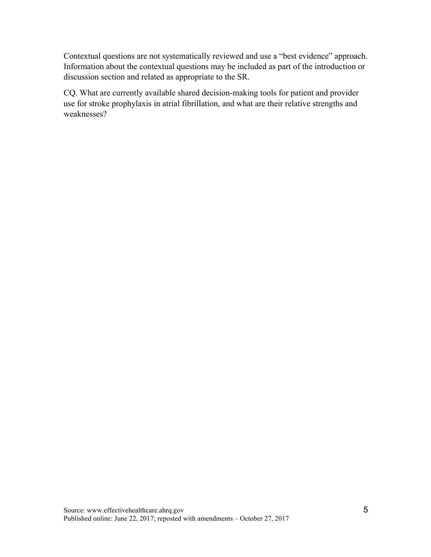Contextual questions are not systematically reviewed and use a "best evidence" approach. Information about the contextual questions may be included as part of the introduction or discussion section and related as appropriate to the SR.

CQ. What are currently available shared decision-making tools for patient and provider use for stroke prophylaxis in atrial fibrillation, and what are their relative strengths and weaknesses?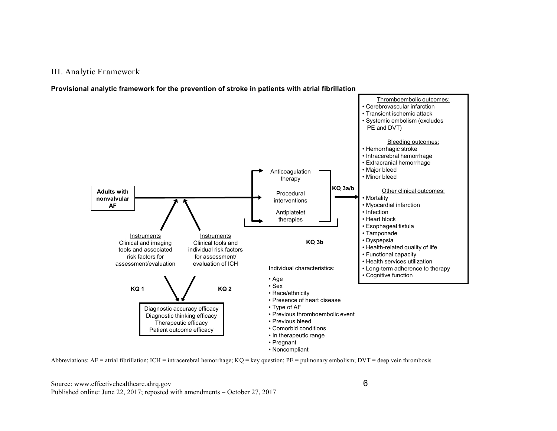#### III. Analytic Framewor k

 **Provisional analytic framework for the prevention of stroke in patients with atrial fibrillation** 





Source: www.effectivehealthcare.ahrq.gov <sup>6</sup> Published online: June 22, 2017; reposted with amendments – October 27, 2017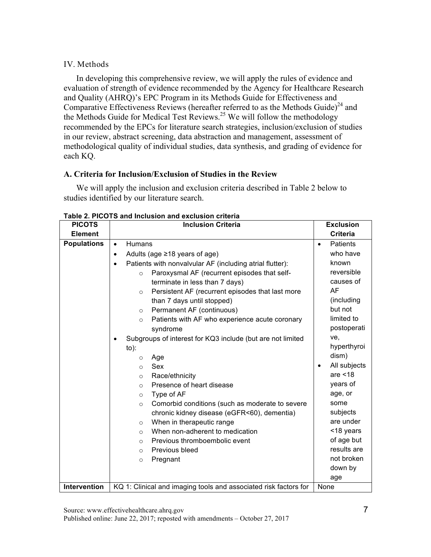# IV. Methods

Comparative Effectiveness Reviews (hereafter referred to as the Methods Guide) $^{24}$  and In developing this comprehensive review, we will apply the rules of evidence and evaluation of strength of evidence recommended by the Agency for Healthcare Research and Quality (AHRQ)'s EPC Program in its Methods Guide for Effectiveness and the Methods Guide for Medical Test Reviews.<sup>25</sup> We will follow the methodology recommended by the EPCs for literature search strategies, inclusion/exclusion of studies in our review, abstract screening, data abstraction and management, assessment of methodological quality of individual studies, data synthesis, and grading of evidence for each KQ.

# **A. Criteria for Inclusion/Exclusion of Studies in the Review**

 We will apply the inclusion and exclusion criteria described in Table 2 below to studies identified by our literature search.

| <b>PICOTS</b>       | <b>Inclusion Criteria</b>                                             | <b>Exclusion</b>             |
|---------------------|-----------------------------------------------------------------------|------------------------------|
| <b>Element</b>      |                                                                       | Criteria                     |
| <b>Populations</b>  | <b>Humans</b><br>$\bullet$                                            | <b>Patients</b><br>$\bullet$ |
|                     | Adults (age $\geq$ 18 years of age)<br>$\bullet$                      | who have                     |
|                     | Patients with nonvalvular AF (including atrial flutter):<br>$\bullet$ | known                        |
|                     | Paroxysmal AF (recurrent episodes that self-<br>$\circ$               | reversible                   |
|                     | terminate in less than 7 days)                                        | causes of                    |
|                     | Persistent AF (recurrent episodes that last more<br>$\circ$           | AF                           |
|                     | than 7 days until stopped)                                            | (including                   |
|                     | Permanent AF (continuous)<br>$\circ$                                  | but not                      |
|                     | Patients with AF who experience acute coronary<br>$\circ$             | limited to                   |
|                     | syndrome                                                              | postoperati                  |
|                     | Subgroups of interest for KQ3 include (but are not limited<br>٠       | ve.                          |
|                     | $to)$ :                                                               | hyperthyroi                  |
|                     | Age<br>$\circ$                                                        | dism)                        |
|                     | Sex<br>$\Omega$                                                       | All subjects<br>$\bullet$    |
|                     | Race/ethnicity<br>$\circ$                                             | are $<$ 18                   |
|                     | Presence of heart disease<br>$\circ$                                  | years of                     |
|                     | Type of AF<br>$\circ$                                                 | age, or                      |
|                     | Comorbid conditions (such as moderate to severe<br>$\circ$            | some                         |
|                     | chronic kidney disease (eGFR<60), dementia)                           | subjects                     |
|                     | When in therapeutic range<br>$\circ$                                  | are under                    |
|                     | When non-adherent to medication<br>$\circ$                            | <18 years                    |
|                     | Previous thromboembolic event<br>$\circ$                              | of age but                   |
|                     | Previous bleed<br>$\Omega$                                            | results are                  |
|                     | Pregnant<br>$\circ$                                                   | not broken                   |
|                     |                                                                       | down by                      |
|                     |                                                                       | age                          |
| <b>Intervention</b> | KQ 1: Clinical and imaging tools and associated risk factors for      | None                         |

**Table 2. PICOTS and Inclusion and exclusion criteria**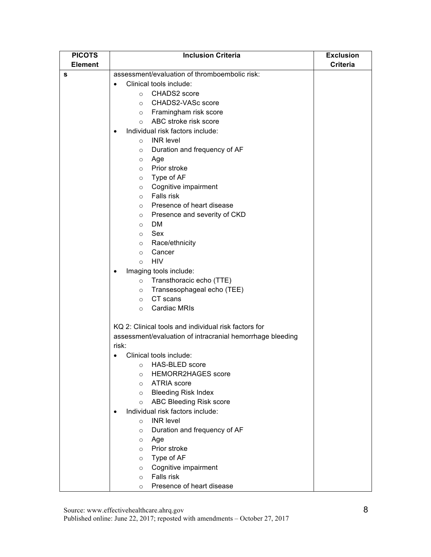| <b>PICOTS</b>  | <b>Inclusion Criteria</b>                                 | <b>Exclusion</b> |
|----------------|-----------------------------------------------------------|------------------|
| <b>Element</b> |                                                           | <b>Criteria</b>  |
| s              | assessment/evaluation of thromboembolic risk:             |                  |
|                | Clinical tools include:                                   |                  |
|                | CHADS2 score<br>$\circ$                                   |                  |
|                | CHADS2-VASc score<br>$\circ$                              |                  |
|                | o Framingham risk score                                   |                  |
|                | ABC stroke risk score<br>$\circ$                          |                  |
|                | Individual risk factors include:<br>$\bullet$             |                  |
|                | <b>INR</b> level<br>$\circ$                               |                  |
|                | Duration and frequency of AF<br>$\circ$                   |                  |
|                | Age<br>$\circ$                                            |                  |
|                | Prior stroke<br>$\circ$                                   |                  |
|                | Type of AF<br>$\circ$                                     |                  |
|                | Cognitive impairment<br>$\circ$                           |                  |
|                | Falls risk<br>$\circ$                                     |                  |
|                | Presence of heart disease<br>$\circ$                      |                  |
|                | Presence and severity of CKD<br>$\circ$                   |                  |
|                | DM.<br>$\circ$                                            |                  |
|                | Sex<br>$\circ$                                            |                  |
|                | Race/ethnicity<br>$\circ$                                 |                  |
|                | Cancer<br>$\circ$                                         |                  |
|                | <b>HIV</b><br>$\Omega$                                    |                  |
|                | Imaging tools include:<br>$\bullet$                       |                  |
|                | Transthoracic echo (TTE)<br>$\circ$                       |                  |
|                | Transesophageal echo (TEE)<br>$\circ$                     |                  |
|                | CT scans<br>$\circ$                                       |                  |
|                | <b>Cardiac MRIs</b><br>$\circ$                            |                  |
|                |                                                           |                  |
|                | KQ 2: Clinical tools and individual risk factors for      |                  |
|                | assessment/evaluation of intracranial hemorrhage bleeding |                  |
|                | risk:                                                     |                  |
|                | Clinical tools include:                                   |                  |
|                | o HAS-BLED score                                          |                  |
|                | <b>HEMORR2HAGES</b> score<br>$\circ$                      |                  |
|                | <b>ATRIA</b> score<br>$\circ$                             |                  |
|                | <b>Bleeding Risk Index</b><br>$\circ$                     |                  |
|                | ABC Bleeding Risk score<br>$\circ$                        |                  |
|                | Individual risk factors include:                          |                  |
|                | <b>INR</b> level<br>$\circ$                               |                  |
|                | Duration and frequency of AF<br>$\circ$                   |                  |
|                | Age<br>$\circ$                                            |                  |
|                | Prior stroke<br>$\circ$                                   |                  |
|                | Type of AF<br>$\circ$                                     |                  |
|                | Cognitive impairment<br>$\circ$                           |                  |
|                | Falls risk<br>$\circ$                                     |                  |
|                | Presence of heart disease<br>$\circ$                      |                  |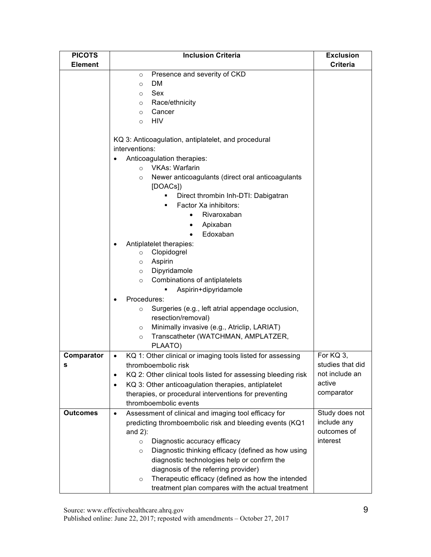| <b>PICOTS</b>   | <b>Inclusion Criteria</b>                                                                     | <b>Exclusion</b> |
|-----------------|-----------------------------------------------------------------------------------------------|------------------|
| <b>Element</b>  |                                                                                               | <b>Criteria</b>  |
|                 | Presence and severity of CKD<br>$\circ$                                                       |                  |
|                 | <b>DM</b><br>$\circ$                                                                          |                  |
|                 | Sex<br>$\circ$                                                                                |                  |
|                 | Race/ethnicity<br>$\circ$                                                                     |                  |
|                 | Cancer<br>$\circ$                                                                             |                  |
|                 | <b>HIV</b><br>$\Omega$                                                                        |                  |
|                 |                                                                                               |                  |
|                 | KQ 3: Anticoagulation, antiplatelet, and procedural                                           |                  |
|                 | interventions:                                                                                |                  |
|                 | Anticoagulation therapies:                                                                    |                  |
|                 | <b>VKAs: Warfarin</b><br>$\Omega$                                                             |                  |
|                 | Newer anticoagulants (direct oral anticoagulants<br>$\circ$<br>[DOACs])                       |                  |
|                 | Direct thrombin Inh-DTI: Dabigatran                                                           |                  |
|                 | Factor Xa inhibitors:                                                                         |                  |
|                 | Rivaroxaban                                                                                   |                  |
|                 |                                                                                               |                  |
|                 | Apixaban<br>٠<br>Edoxaban<br>$\bullet$                                                        |                  |
|                 |                                                                                               |                  |
|                 | Antiplatelet therapies:<br>Clopidogrel<br>$\circ$                                             |                  |
|                 | Aspirin                                                                                       |                  |
|                 | $\circ$<br>Dipyridamole                                                                       |                  |
|                 | $\circ$<br>Combinations of antiplatelets                                                      |                  |
|                 | $\circ$<br>Aspirin+dipyridamole                                                               |                  |
|                 |                                                                                               |                  |
|                 | Procedures:                                                                                   |                  |
|                 | Surgeries (e.g., left atrial appendage occlusion,<br>$\circ$                                  |                  |
|                 | resection/removal)                                                                            |                  |
|                 | Minimally invasive (e.g., Atriclip, LARIAT)<br>$\circ$<br>Transcatheter (WATCHMAN, AMPLATZER, |                  |
|                 | $\circ$<br>PLAATO)                                                                            |                  |
| Comparator      | KQ 1: Other clinical or imaging tools listed for assessing<br>$\bullet$                       | For KQ 3,        |
|                 | thromboembolic risk                                                                           | studies that did |
|                 | KQ 2: Other clinical tools listed for assessing bleeding risk<br>$\bullet$                    | not include an   |
|                 | KQ 3: Other anticoagulation therapies, antiplatelet<br>$\bullet$                              | active           |
|                 | therapies, or procedural interventions for preventing                                         | comparator       |
|                 | thromboembolic events                                                                         |                  |
| <b>Outcomes</b> | Assessment of clinical and imaging tool efficacy for<br>$\bullet$                             | Study does not   |
|                 | predicting thromboembolic risk and bleeding events (KQ1                                       | include any      |
|                 | and $2$ ):                                                                                    | outcomes of      |
|                 | Diagnostic accuracy efficacy<br>$\circ$                                                       | interest         |
|                 | Diagnostic thinking efficacy (defined as how using<br>$\circ$                                 |                  |
|                 | diagnostic technologies help or confirm the                                                   |                  |
|                 | diagnosis of the referring provider)                                                          |                  |
|                 | Therapeutic efficacy (defined as how the intended<br>$\circ$                                  |                  |
|                 | treatment plan compares with the actual treatment                                             |                  |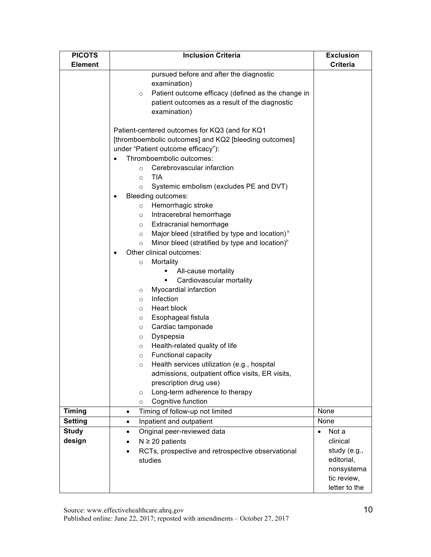| <b>PICOTS</b>  | <b>Inclusion Criteria</b>                                         | <b>Exclusion</b>   |
|----------------|-------------------------------------------------------------------|--------------------|
| <b>Element</b> |                                                                   | <b>Criteria</b>    |
|                | pursued before and after the diagnostic                           |                    |
|                | examination)                                                      |                    |
|                | Patient outcome efficacy (defined as the change in<br>$\circ$     |                    |
|                | patient outcomes as a result of the diagnostic                    |                    |
|                | examination)                                                      |                    |
|                | Patient-centered outcomes for KQ3 (and for KQ1                    |                    |
|                | [thromboembolic outcomes] and KQ2 [bleeding outcomes]             |                    |
|                | under "Patient outcome efficacy"):                                |                    |
|                | Thromboembolic outcomes:                                          |                    |
|                | Cerebrovascular infarction<br>$\circ$                             |                    |
|                | <b>TIA</b><br>$\circ$                                             |                    |
|                | Systemic embolism (excludes PE and DVT)<br>$\circ$                |                    |
|                | Bleeding outcomes:<br>$\bullet$                                   |                    |
|                | Hemorrhagic stroke<br>$\circ$                                     |                    |
|                | Intracerebral hemorrhage<br>$\circ$                               |                    |
|                | Extracranial hemorrhage<br>$\circ$                                |                    |
|                | Major bleed (stratified by type and location) $b$<br>$\circ$      |                    |
|                | Minor bleed (stratified by type and location) $\delta$<br>$\circ$ |                    |
|                | Other clinical outcomes:                                          |                    |
|                | Mortality<br>$\circ$                                              |                    |
|                | All-cause mortality                                               |                    |
|                | Cardiovascular mortality<br>٠                                     |                    |
|                | Myocardial infarction<br>$\circ$<br>Infection<br>$\circ$          |                    |
|                | Heart block<br>$\circ$                                            |                    |
|                | Esophageal fistula<br>$\circ$                                     |                    |
|                | Cardiac tamponade<br>$\circ$                                      |                    |
|                | Dyspepsia<br>$\circ$                                              |                    |
|                | Health-related quality of life<br>$\circ$                         |                    |
|                | Functional capacity<br>$\circ$                                    |                    |
|                | Health services utilization (e.g., hospital                       |                    |
|                | admissions, outpatient office visits, ER visits,                  |                    |
|                | prescription drug use)                                            |                    |
|                | Long-term adherence to therapy<br>$\circ$                         |                    |
|                | Cognitive function<br>$\circ$                                     |                    |
| <b>Timing</b>  | Timing of follow-up not limited<br>$\bullet$                      | None               |
| <b>Setting</b> | Inpatient and outpatient<br>$\bullet$                             | None               |
| <b>Study</b>   | Original peer-reviewed data<br>$\bullet$                          | Not a<br>$\bullet$ |
| design         | $N \geq 20$ patients                                              | clinical           |
|                | RCTs, prospective and retrospective observational<br>$\bullet$    | study (e.g.,       |
|                | studies                                                           | editorial,         |
|                |                                                                   | nonsystema         |
|                |                                                                   | tic review,        |
|                |                                                                   | letter to the      |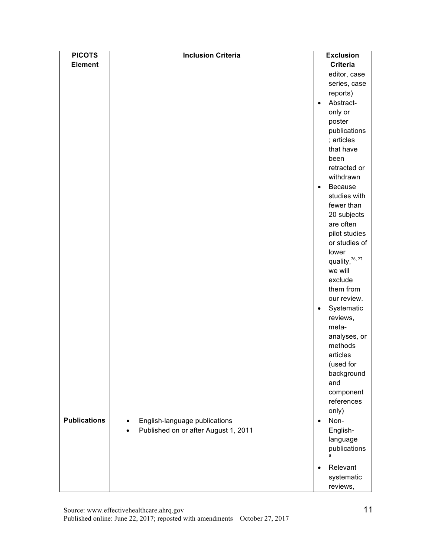| <b>PICOTS</b>       | <b>Inclusion Criteria</b>                  |           | <b>Exclusion</b>  |
|---------------------|--------------------------------------------|-----------|-------------------|
| <b>Element</b>      |                                            |           | <b>Criteria</b>   |
|                     |                                            |           | editor, case      |
|                     |                                            |           | series, case      |
|                     |                                            |           | reports)          |
|                     |                                            | $\bullet$ | Abstract-         |
|                     |                                            |           | only or           |
|                     |                                            |           | poster            |
|                     |                                            |           | publications      |
|                     |                                            |           | ; articles        |
|                     |                                            |           | that have         |
|                     |                                            |           | been              |
|                     |                                            |           | retracted or      |
|                     |                                            |           | withdrawn         |
|                     |                                            | $\bullet$ | Because           |
|                     |                                            |           | studies with      |
|                     |                                            |           | fewer than        |
|                     |                                            |           | 20 subjects       |
|                     |                                            |           | are often         |
|                     |                                            |           | pilot studies     |
|                     |                                            |           | or studies of     |
|                     |                                            |           | lower             |
|                     |                                            |           | quality, 26, 27   |
|                     |                                            |           | we will           |
|                     |                                            |           | exclude           |
|                     |                                            |           | them from         |
|                     |                                            |           | our review.       |
|                     |                                            | $\bullet$ | Systematic        |
|                     |                                            |           | reviews,          |
|                     |                                            |           | meta-             |
|                     |                                            |           | analyses, or      |
|                     |                                            |           | methods           |
|                     |                                            |           | articles          |
|                     |                                            |           | (used for         |
|                     |                                            |           | background        |
|                     |                                            |           | and               |
|                     |                                            |           | component         |
|                     |                                            |           | references        |
| <b>Publications</b> |                                            |           | only)             |
|                     | English-language publications<br>$\bullet$ | $\bullet$ | Non-              |
|                     | Published on or after August 1, 2011       |           | English-          |
|                     |                                            |           | language          |
|                     |                                            |           | publications<br>a |
|                     |                                            | $\bullet$ | Relevant          |
|                     |                                            |           | systematic        |
|                     |                                            |           | reviews,          |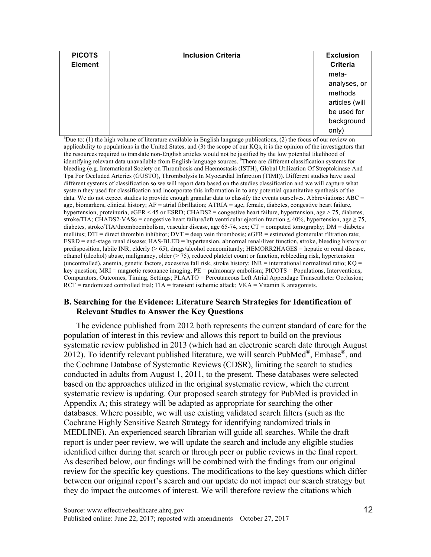| <b>PICOTS</b><br><b>Element</b> | <b>Inclusion Criteria</b> | <b>Exclusion</b><br><b>Criteria</b> |
|---------------------------------|---------------------------|-------------------------------------|
|                                 |                           | meta-                               |
|                                 |                           | analyses, or                        |
|                                 |                           | methods                             |
|                                 |                           | articles (will                      |
|                                 |                           | be used for                         |
|                                 |                           | background                          |
|                                 |                           | only)                               |

<sup>a</sup>Due to: (1) the high volume of literature available in English language publications, (2) the focus of our review on applicability to populations in the United States, and (3) the scope of our KQs, it is the opinion of the investigators that the resources required to translate non-English articles would not be justified by the low potential likelihood of identifying relevant data unavailable from English-language sources. <sup>b</sup>There are different classification systems for bleeding (e.g. International Society on Thrombosis and Haemostasis (ISTH), Global Utilization Of Streptokinase And Tpa For Occluded Arteries (GUSTO), Thrombolysis In Myocardial Infarction (TIMI)). Different studies have used different systems of classification so we will report data based on the studies classification and we will capture what system they used for classification and incorporate this information in to any potential quantitative synthesis of the data. We do not expect studies to provide enough granular data to classify the events ourselves. Abbreviations: ABC = age, biomarkers, clinical history; AF = atrial fibrillation; ATRIA = age, female, diabetes, congestive heart failure, hypertension, proteinuria, eGFR < 45 or ESRD; CHADS2 = congestive heart failure, hypertension, age > 75, diabetes, stroke/TIA; CHADS2-VASc = congestive heart failure/left ventricular ejection fraction  $\leq 40\%$ , hypertension, age  $\geq 75$ , diabetes, stroke/TIA/thromboembolism, vascular disease, age 65-74, sex; CT = computed tomography; DM = diabetes mellitus; DTI = direct thrombin inhibitor; DVT = deep vein thrombosis; eGFR = estimated glomerular filtration rate; ESRD = end-stage renal disease; HAS-BLED = hypertension, **a**bnormal renal/liver function, **s**troke, bleeding history or predisposition, labile INR, elderly (> 65), drugs/alcohol concomitantly; HEMORR2HAGES = hepatic or renal disease, ethanol (alcohol) abuse, malignancy, older (> 75), reduced platelet count or function, rebleeding risk, hypertension (uncontrolled), anemia, genetic factors, excessive fall risk, stroke history;  $INR =$  international normalized ratio;  $KQ =$  key question; MRI = magnetic resonance imaging; PE = pulmonary embolism; PICOTS = Populations, Interventions, Comparators, Outcomes, Timing, Settings; PLAATO = Percutaneous Left Atrial Appendage Transcatheter Occlusion;  $RCT$  = randomized controlled trial; TIA = transient ischemic attack;  $VKA$  = Vitamin K antagonists.

### **Relevant Studies to Answer the Key Questions B. Searching for the Evidence: Literature Search Strategies for Identification of**

 population of interest in this review and allows this report to build on the previous conducted in adults from August 1, 2011, to the present. These databases were selected based on the approaches utilized in the original systematic review, which the current The evidence published from 2012 both represents the current standard of care for the systematic review published in 2013 (which had an electronic search date through August 2012). To identify relevant published literature, we will search PubMed<sup>®</sup>, Embase<sup>®</sup>, and the Cochrane Database of Systematic Reviews (CDSR), limiting the search to studies systematic review is updating. Our proposed search strategy for PubMed is provided in Appendix A; this strategy will be adapted as appropriate for searching the other databases. Where possible, we will use existing validated search filters (such as the Cochrane Highly Sensitive Search Strategy for identifying randomized trials in MEDLINE). An experienced search librarian will guide all searches. While the draft report is under peer review, we will update the search and include any eligible studies identified either during that search or through peer or public reviews in the final report. As described below, our findings will be combined with the findings from our original review for the specific key questions. The modifications to the key questions which differ between our original report's search and our update do not impact our search strategy but they do impact the outcomes of interest. We will therefore review the citations which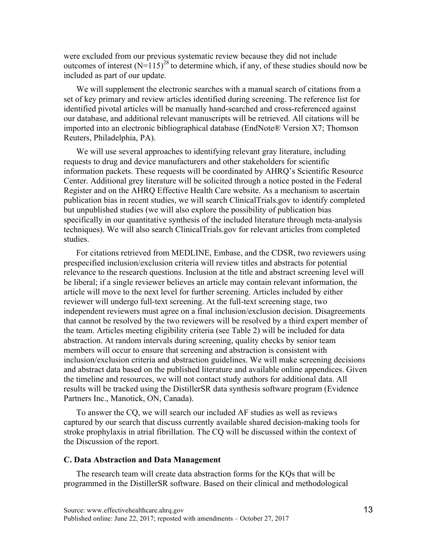were excluded from our previous systematic review because they did not include outcomes of interest  $(N=115)^{28}$  to determine which, if any, of these studies should now be included as part of our update.

We will supplement the electronic searches with a manual search of citations from a set of key primary and review articles identified during screening. The reference list for identified pivotal articles will be manually hand-searched and cross-referenced against our database, and additional relevant manuscripts will be retrieved. All citations will be imported into an electronic bibliographical database (EndNote® Version X7; Thomson Reuters, Philadelphia, PA).

We will use several approaches to identifying relevant gray literature, including requests to drug and device manufacturers and other stakeholders for scientific information packets. These requests will be coordinated by AHRQ's Scientific Resource Center. Additional grey literature will be solicited through a notice posted in the Federal Register and on the AHRQ Effective Health Care website. As a mechanism to ascertain publication bias in recent studies, we will search ClinicalTrials.gov to identify completed but unpublished studies (we will also explore the possibility of publication bias specifically in our quantitative synthesis of the included literature through meta-analysis techniques). We will also search ClinicalTrials.gov for relevant articles from completed studies.

For citations retrieved from MEDLINE, Embase, and the CDSR, two reviewers using prespecified inclusion/exclusion criteria will review titles and abstracts for potential relevance to the research questions. Inclusion at the title and abstract screening level will be liberal; if a single reviewer believes an article may contain relevant information, the article will move to the next level for further screening. Articles included by either reviewer will undergo full-text screening. At the full-text screening stage, two independent reviewers must agree on a final inclusion/exclusion decision. Disagreements that cannot be resolved by the two reviewers will be resolved by a third expert member of the team. Articles meeting eligibility criteria (see Table 2) will be included for data abstraction. At random intervals during screening, quality checks by senior team members will occur to ensure that screening and abstraction is consistent with inclusion/exclusion criteria and abstraction guidelines. We will make screening decisions and abstract data based on the published literature and available online appendices. Given the timeline and resources, we will not contact study authors for additional data. All results will be tracked using the DistillerSR data synthesis software program (Evidence Partners Inc., Manotick, ON, Canada).

To answer the CQ, we will search our included AF studies as well as reviews captured by our search that discuss currently available shared decision-making tools for stroke prophylaxis in atrial fibrillation. The CQ will be discussed within the context of the Discussion of the report.

#### **C. Data Abstraction and Data Management**

The research team will create data abstraction forms for the KQs that will be programmed in the DistillerSR software. Based on their clinical and methodological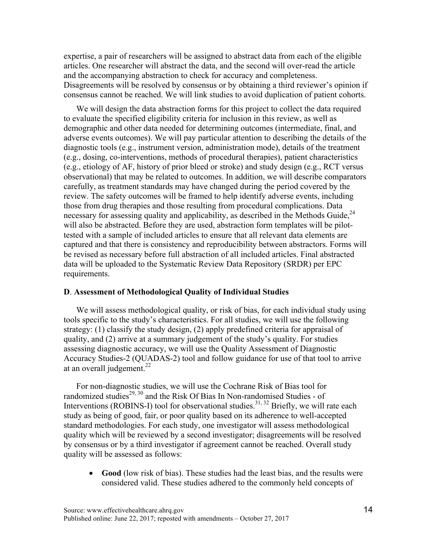expertise, a pair of researchers will be assigned to abstract data from each of the eligible articles. One researcher will abstract the data, and the second will over-read the article and the accompanying abstraction to check for accuracy and completeness. Disagreements will be resolved by consensus or by obtaining a third reviewer's opinion if consensus cannot be reached. We will link studies to avoid duplication of patient cohorts.

We will design the data abstraction forms for this project to collect the data required to evaluate the specified eligibility criteria for inclusion in this review, as well as demographic and other data needed for determining outcomes (intermediate, final, and adverse events outcomes). We will pay particular attention to describing the details of the diagnostic tools (e.g., instrument version, administration mode), details of the treatment (e.g., dosing, co-interventions, methods of procedural therapies), patient characteristics (e.g., etiology of AF, history of prior bleed or stroke) and study design (e.g., RCT versus observational) that may be related to outcomes. In addition, we will describe comparators carefully, as treatment standards may have changed during the period covered by the review. The safety outcomes will be framed to help identify adverse events, including those from drug therapies and those resulting from procedural complications. Data necessary for assessing quality and applicability, as described in the Methods Guide,  $24$ will also be abstracted. Before they are used, abstraction form templates will be pilottested with a sample of included articles to ensure that all relevant data elements are captured and that there is consistency and reproducibility between abstractors. Forms will be revised as necessary before full abstraction of all included articles. Final abstracted data will be uploaded to the Systematic Review Data Repository (SRDR) per EPC requirements.

### **D**. **Assessment of Methodological Quality of Individual Studies**

at an overall judgement. $^{22}$ We will assess methodological quality, or risk of bias, for each individual study using tools specific to the study's characteristics. For all studies, we will use the following strategy: (1) classify the study design, (2) apply predefined criteria for appraisal of quality, and (2) arrive at a summary judgement of the study's quality. For studies assessing diagnostic accuracy, we will use the Quality Assessment of Diagnostic Accuracy Studies-2 (QUADAS-2) tool and follow guidance for use of that tool to arrive

 For non-diagnostic studies, we will use the Cochrane Risk of Bias tool for randomized studies<sup>29, 30</sup> and the Risk Of Bias In Non-randomised Studies - of Interventions (ROBINS-I) tool for observational studies.<sup>31, 32</sup> Briefly, we will rate each quality which will be reviewed by a second investigator; disagreements will be resolved by consensus or by a third investigator if agreement cannot be reached. Overall study study as being of good, fair, or poor quality based on its adherence to well-accepted standard methodologies. For each study, one investigator will assess methodological quality will be assessed as follows:

• **Good** (low risk of bias). These studies had the least bias, and the results were considered valid. These studies adhered to the commonly held concepts of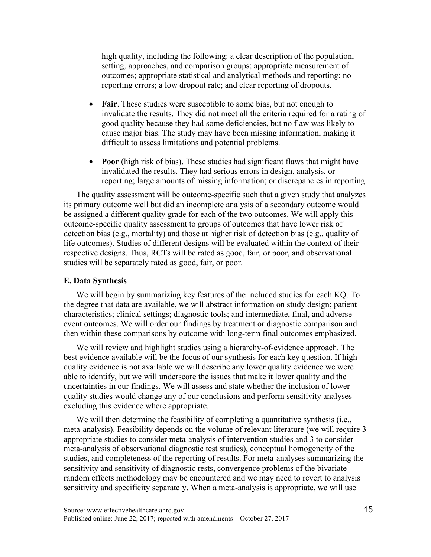high quality, including the following: a clear description of the population, setting, approaches, and comparison groups; appropriate measurement of outcomes; appropriate statistical and analytical methods and reporting; no reporting errors; a low dropout rate; and clear reporting of dropouts.

- **Fair**. These studies were susceptible to some bias, but not enough to invalidate the results. They did not meet all the criteria required for a rating of good quality because they had some deficiencies, but no flaw was likely to cause major bias. The study may have been missing information, making it difficult to assess limitations and potential problems.
- **Poor** (high risk of bias). These studies had significant flaws that might have invalidated the results. They had serious errors in design, analysis, or reporting; large amounts of missing information; or discrepancies in reporting.

 studies will be separately rated as good, fair, or poor. The quality assessment will be outcome-specific such that a given study that analyzes its primary outcome well but did an incomplete analysis of a secondary outcome would be assigned a different quality grade for each of the two outcomes. We will apply this outcome-specific quality assessment to groups of outcomes that have lower risk of detection bias (e.g., mortality) and those at higher risk of detection bias (e.g,. quality of life outcomes). Studies of different designs will be evaluated within the context of their respective designs. Thus, RCTs will be rated as good, fair, or poor, and observational

#### **E. Data Synthesis**

We will begin by summarizing key features of the included studies for each KQ. To the degree that data are available, we will abstract information on study design; patient characteristics; clinical settings; diagnostic tools; and intermediate, final, and adverse event outcomes. We will order our findings by treatment or diagnostic comparison and then within these comparisons by outcome with long-term final outcomes emphasized.

We will review and highlight studies using a hierarchy-of-evidence approach. The best evidence available will be the focus of our synthesis for each key question. If high quality evidence is not available we will describe any lower quality evidence we were able to identify, but we will underscore the issues that make it lower quality and the uncertainties in our findings. We will assess and state whether the inclusion of lower quality studies would change any of our conclusions and perform sensitivity analyses excluding this evidence where appropriate.

We will then determine the feasibility of completing a quantitative synthesis (i.e., meta-analysis). Feasibility depends on the volume of relevant literature (we will require 3 appropriate studies to consider meta-analysis of intervention studies and 3 to consider meta-analysis of observational diagnostic test studies), conceptual homogeneity of the studies, and completeness of the reporting of results. For meta-analyses summarizing the sensitivity and sensitivity of diagnostic rests, convergence problems of the bivariate random effects methodology may be encountered and we may need to revert to analysis sensitivity and specificity separately. When a meta-analysis is appropriate, we will use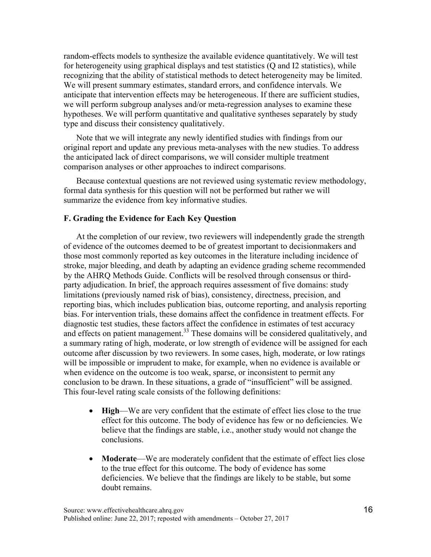random-effects models to synthesize the available evidence quantitatively. We will test for heterogeneity using graphical displays and test statistics (Q and I2 statistics), while recognizing that the ability of statistical methods to detect heterogeneity may be limited. We will present summary estimates, standard errors, and confidence intervals. We anticipate that intervention effects may be heterogeneous. If there are sufficient studies, we will perform subgroup analyses and/or meta-regression analyses to examine these hypotheses. We will perform quantitative and qualitative syntheses separately by study type and discuss their consistency qualitatively.

 original report and update any previous meta-analyses with the new studies. To address Note that we will integrate any newly identified studies with findings from our the anticipated lack of direct comparisons, we will consider multiple treatment comparison analyses or other approaches to indirect comparisons.

Because contextual questions are not reviewed using systematic review methodology, formal data synthesis for this question will not be performed but rather we will summarize the evidence from key informative studies.

### **F. Grading the Evidence for Each Key Question**

 those most commonly reported as key outcomes in the literature including incidence of stroke, major bleeding, and death by adapting an evidence grading scheme recommended At the completion of our review, two reviewers will independently grade the strength of evidence of the outcomes deemed to be of greatest important to decisionmakers and by the AHRQ Methods Guide. Conflicts will be resolved through consensus or thirdparty adjudication. In brief, the approach requires assessment of five domains: study limitations (previously named risk of bias), consistency, directness, precision, and reporting bias, which includes publication bias, outcome reporting, and analysis reporting bias. For intervention trials, these domains affect the confidence in treatment effects. For diagnostic test studies, these factors affect the confidence in estimates of test accuracy and effects on patient management.<sup>33</sup> These domains will be considered qualitatively, and a summary rating of high, moderate, or low strength of evidence will be assigned for each outcome after discussion by two reviewers. In some cases, high, moderate, or low ratings will be impossible or imprudent to make, for example, when no evidence is available or when evidence on the outcome is too weak, sparse, or inconsistent to permit any conclusion to be drawn. In these situations, a grade of "insufficient" will be assigned. This four-level rating scale consists of the following definitions:

- **High**—We are very confident that the estimate of effect lies close to the true effect for this outcome. The body of evidence has few or no deficiencies. We believe that the findings are stable, i.e., another study would not change the conclusions.
- **Moderate—We** are moderately confident that the estimate of effect lies close to the true effect for this outcome. The body of evidence has some deficiencies. We believe that the findings are likely to be stable, but some doubt remains.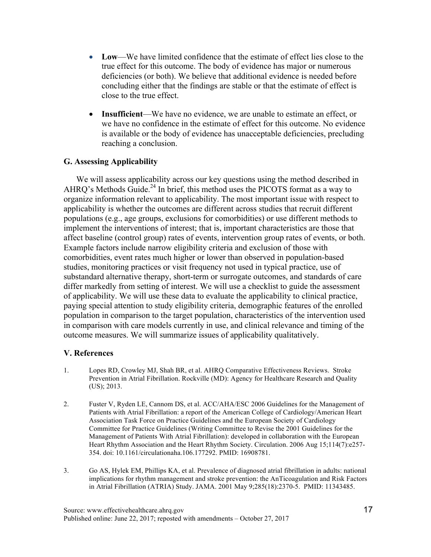- Low—We have limited confidence that the estimate of effect lies close to the true effect for this outcome. The body of evidence has major or numerous deficiencies (or both). We believe that additional evidence is needed before concluding either that the findings are stable or that the estimate of effect is close to the true effect.
- **Insufficient**—We have no evidence, we are unable to estimate an effect, or we have no confidence in the estimate of effect for this outcome. No evidence is available or the body of evidence has unacceptable deficiencies, precluding reaching a conclusion.

## **G. Assessing Applicability**

We will assess applicability across our key questions using the method described in AHRQ's Methods Guide.<sup>24</sup> In brief, this method uses the PICOTS format as a way to organize information relevant to applicability. The most important issue with respect to applicability is whether the outcomes are different across studies that recruit different populations (e.g., age groups, exclusions for comorbidities) or use different methods to implement the interventions of interest; that is, important characteristics are those that affect baseline (control group) rates of events, intervention group rates of events, or both. Example factors include narrow eligibility criteria and exclusion of those with comorbidities, event rates much higher or lower than observed in population-based studies, monitoring practices or visit frequency not used in typical practice, use of substandard alternative therapy, short-term or surrogate outcomes, and standards of care differ markedly from setting of interest. We will use a checklist to guide the assessment of applicability. We will use these data to evaluate the applicability to clinical practice, paying special attention to study eligibility criteria, demographic features of the enrolled population in comparison to the target population, characteristics of the intervention used in comparison with care models currently in use, and clinical relevance and timing of the outcome measures. We will summarize issues of applicability qualitatively.

### **V. References**

- 1. Lopes RD, Crowley MJ, Shah BR, et al. AHRQ Comparative Effectiveness Reviews. Stroke Prevention in Atrial Fibrillation. Rockville (MD): Agency for Healthcare Research and Quality (US); 2013.
- 2. Fuster V, Ryden LE, Cannom DS, et al. ACC/AHA/ESC 2006 Guidelines for the Management of Patients with Atrial Fibrillation: a report of the American College of Cardiology/American Heart Association Task Force on Practice Guidelines and the European Society of Cardiology Committee for Practice Guidelines (Writing Committee to Revise the 2001 Guidelines for the Management of Patients With Atrial Fibrillation): developed in collaboration with the European Heart Rhythm Association and the Heart Rhythm Society. Circulation. 2006 Aug 15;114(7):e257- 354. doi: 10.1161/circulationaha.106.177292. PMID: 16908781.
- 3. Go AS, Hylek EM, Phillips KA, et al. Prevalence of diagnosed atrial fibrillation in adults: national in Atrial Fibrillation (ATRIA) Study. JAMA. 2001 May 9;285(18):2370-5. PMID: 11343485. implications for rhythm management and stroke prevention: the AnTicoagulation and Risk Factors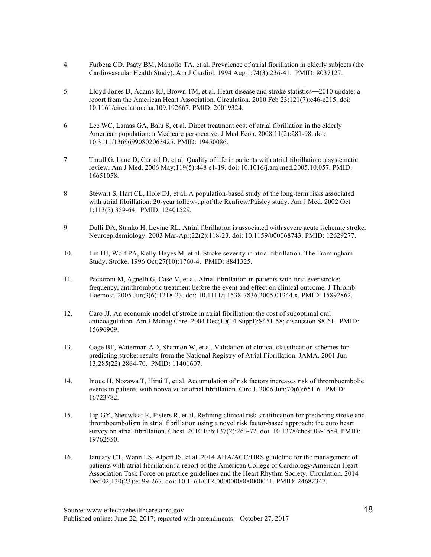- 4. Furberg CD, Psaty BM, Manolio TA, et al. Prevalence of atrial fibrillation in elderly subjects (the Cardiovascular Health Study). Am J Cardiol. 1994 Aug 1;74(3):236-41. PMID: 8037127.
- 5. Lloyd-Jones D, Adams RJ, Brown TM, et al. Heart disease and stroke statistics̶2010 update: a report from the American Heart Association. Circulation. 2010 Feb 23;121(7):e46-e215. doi: 10.1161/circulationaha.109.192667. PMID: 20019324.
- 6. Lee WC, Lamas GA, Balu S, et al. Direct treatment cost of atrial fibrillation in the elderly American population: a Medicare perspective. J Med Econ. 2008;11(2):281-98. doi: 10.3111/13696990802063425. PMID: 19450086.
- 7. Thrall G, Lane D, Carroll D, et al. Quality of life in patients with atrial fibrillation: a systematic review. Am J Med. 2006 May;119(5):448 e1-19. doi: 10.1016/j.amjmed.2005.10.057. PMID: 16651058.
- 8. Stewart S, Hart CL, Hole DJ, et al. A population-based study of the long-term risks associated with atrial fibrillation: 20-year follow-up of the Renfrew/Paisley study. Am J Med. 2002 Oct 1;113(5):359-64. PMID: 12401529.
- 9. Dulli DA, Stanko H, Levine RL. Atrial fibrillation is associated with severe acute ischemic stroke. Neuroepidemiology. 2003 Mar-Apr;22(2):118-23. doi: 10.1159/000068743. PMID: 12629277.
- 10. Lin HJ, Wolf PA, Kelly-Hayes M, et al. Stroke severity in atrial fibrillation. The Framingham Study. Stroke. 1996 Oct;27(10):1760-4. PMID: 8841325.
- 11. Paciaroni M, Agnelli G, Caso V, et al. Atrial fibrillation in patients with first-ever stroke: frequency, antithrombotic treatment before the event and effect on clinical outcome. J Thromb Haemost. 2005 Jun;3(6):1218-23. doi: 10.1111/j.1538-7836.2005.01344.x. PMID: 15892862.
- 12. Caro JJ. An economic model of stroke in atrial fibrillation: the cost of suboptimal oral anticoagulation. Am J Manag Care. 2004 Dec;10(14 Suppl):S451-58; discussion S8-61. PMID: 15696909.
- 13. Gage BF, Waterman AD, Shannon W, et al. Validation of clinical classification schemes for predicting stroke: results from the National Registry of Atrial Fibrillation. JAMA. 2001 Jun 13;285(22):2864-70. PMID: 11401607.
- 14. Inoue H, Nozawa T, Hirai T, et al. Accumulation of risk factors increases risk of thromboembolic events in patients with nonvalvular atrial fibrillation. Circ J. 2006 Jun;70(6):651-6. PMID: 16723782.
- 15. Lip GY, Nieuwlaat R, Pisters R, et al. Refining clinical risk stratification for predicting stroke and thromboembolism in atrial fibrillation using a novel risk factor-based approach: the euro heart survey on atrial fibrillation. Chest. 2010 Feb;137(2):263-72. doi: 10.1378/chest.09-1584. PMID: 19762550.
- 16. January CT, Wann LS, Alpert JS, et al. 2014 AHA/ACC/HRS guideline for the management of patients with atrial fibrillation: a report of the American College of Cardiology/American Heart Association Task Force on practice guidelines and the Heart Rhythm Society. Circulation. 2014 Dec 02;130(23):e199-267. doi: 10.1161/CIR.0000000000000041. PMID: 24682347.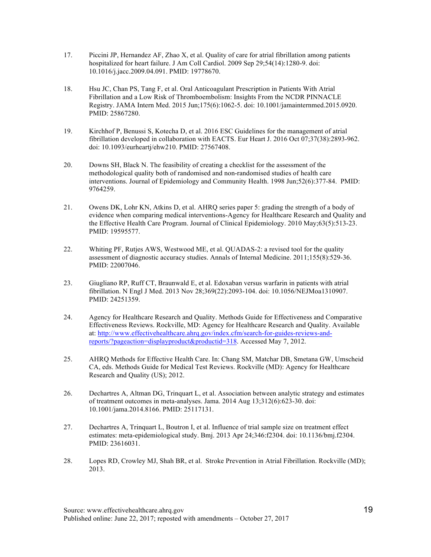- 17. Piccini JP, Hernandez AF, Zhao X, et al. Quality of care for atrial fibrillation among patients hospitalized for heart failure. J Am Coll Cardiol. 2009 Sep 29;54(14):1280-9. doi: 10.1016/j.jacc.2009.04.091. PMID: 19778670.
- 18. Hsu JC, Chan PS, Tang F, et al. Oral Anticoagulant Prescription in Patients With Atrial Fibrillation and a Low Risk of Thromboembolism: Insights From the NCDR PINNACLE Registry. JAMA Intern Med. 2015 Jun;175(6):1062-5. doi: 10.1001/jamainternmed.2015.0920. PMID: 25867280.
- 19. Kirchhof P, Benussi S, Kotecha D, et al. 2016 ESC Guidelines for the management of atrial fibrillation developed in collaboration with EACTS. Eur Heart J. 2016 Oct 07;37(38):2893-962. doi: 10.1093/eurheartj/ehw210. PMID: 27567408.
- 20. Downs SH, Black N. The feasibility of creating a checklist for the assessment of the methodological quality both of randomised and non-randomised studies of health care interventions. Journal of Epidemiology and Community Health. 1998 Jun;52(6):377-84. PMID: 9764259.
- 21. Owens DK, Lohr KN, Atkins D, et al. AHRQ series paper 5: grading the strength of a body of evidence when comparing medical interventions-Agency for Healthcare Research and Quality and the Effective Health Care Program. Journal of Clinical Epidemiology. 2010 May;63(5):513-23. PMID: 19595577.
- 22. Whiting PF, Rutjes AWS, Westwood ME, et al. QUADAS-2: a revised tool for the quality assessment of diagnostic accuracy studies. Annals of Internal Medicine. 2011;155(8):529-36. PMID: 22007046.
- 23. Giugliano RP, Ruff CT, Braunwald E, et al. Edoxaban versus warfarin in patients with atrial fibrillation. N Engl J Med. 2013 Nov 28;369(22):2093-104. doi: 10.1056/NEJMoa1310907. PMID: 24251359.
- 24. Agency for Healthcare Research and Quality. Methods Guide for Effectiveness and Comparative Effectiveness Reviews. Rockville, MD: Agency for Healthcare Research and Quality. Available at: http://www.effectivehealthcare.ahrq.gov/index.cfm/search-for-guides-reviews-andreports/?pageaction=displayproduct&productid=318. Accessed May 7, 2012.
- 25. AHRQ Methods for Effective Health Care. In: Chang SM, Matchar DB, Smetana GW, Umscheid CA, eds. Methods Guide for Medical Test Reviews. Rockville (MD): Agency for Healthcare Research and Quality (US); 2012.
- 26. Dechartres A, Altman DG, Trinquart L, et al. Association between analytic strategy and estimates of treatment outcomes in meta-analyses. Jama. 2014 Aug 13;312(6):623-30. doi: 10.1001/jama.2014.8166. PMID: 25117131.
- 27. Dechartres A, Trinquart L, Boutron I, et al. Influence of trial sample size on treatment effect estimates: meta-epidemiological study. Bmj. 2013 Apr 24;346:f2304. doi: 10.1136/bmj.f2304. PMID: 23616031.
- 28. Lopes RD, Crowley MJ, Shah BR, et al. Stroke Prevention in Atrial Fibrillation. Rockville (MD); 2013.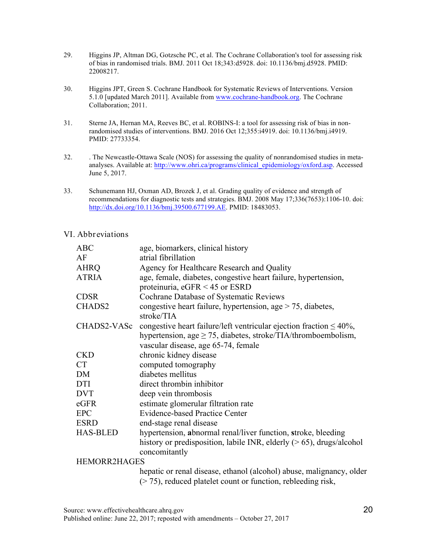- 29. Higgins JP, Altman DG, Gotzsche PC, et al. The Cochrane Collaboration's tool for assessing risk of bias in randomised trials. BMJ. 2011 Oct 18;343:d5928. doi: 10.1136/bmj.d5928. PMID: 22008217.
- 30. Higgins JPT, Green S. Cochrane Handbook for Systematic Reviews of Interventions. Version 5.1.0 [updated March 2011]. Available from www.cochrane-handbook.org. The Cochrane Collaboration; 2011.
- $31.$  randomised studies of interventions. BMJ. 2016 Oct 12;355:i4919. doi: 10.1136/bmj.i4919. Sterne JA, Hernan MA, Reeves BC, et al. ROBINS-I: a tool for assessing risk of bias in non-PMID: 27733354.
- 32. . The Newcastle-Ottawa Scale (NOS) for assessing the quality of nonrandomised studies in meta- June 5, 2017. analyses. Available at: http://www.ohri.ca/programs/clinical\_epidemiology/oxford.asp. Accessed
- 33. Schunemann HJ, Oxman AD, Brozek J, et al. Grading quality of evidence and strength of recommendations for diagnostic tests and strategies. BMJ. 2008 May 17;336(7653):1106-10. doi: http://dx.doi.org/10.1136/bmj.39500.677199.AE. PMID: 18483053.

#### VI. Abbreviations

| <b>ABC</b>          | age, biomarkers, clinical history                                         |
|---------------------|---------------------------------------------------------------------------|
| AF                  | atrial fibrillation                                                       |
| <b>AHRQ</b>         | Agency for Healthcare Research and Quality                                |
| <b>ATRIA</b>        | age, female, diabetes, congestive heart failure, hypertension,            |
|                     | proteinuria, $eGFR < 45$ or ESRD                                          |
| <b>CDSR</b>         | Cochrane Database of Systematic Reviews                                   |
| CHADS2              | congestive heart failure, hypertension, age $> 75$ , diabetes,            |
|                     | stroke/TIA                                                                |
| <b>CHADS2-VASc</b>  | congestive heart failure/left ventricular ejection fraction $\leq 40\%$ , |
|                     | hypertension, age $\geq$ 75, diabetes, stroke/TIA/thromboembolism,        |
|                     | vascular disease, age 65-74, female                                       |
| <b>CKD</b>          | chronic kidney disease                                                    |
| <b>CT</b>           | computed tomography                                                       |
| DM                  | diabetes mellitus                                                         |
| DTI                 | direct thrombin inhibitor                                                 |
| <b>DVT</b>          | deep vein thrombosis                                                      |
| eGFR                | estimate glomerular filtration rate                                       |
| <b>EPC</b>          | <b>Evidence-based Practice Center</b>                                     |
| <b>ESRD</b>         | end-stage renal disease                                                   |
| <b>HAS-BLED</b>     | hypertension, abnormal renal/liver function, stroke, bleeding             |
|                     | history or predisposition, labile INR, elderly $(> 65)$ , drugs/alcohol   |
|                     | concomitantly                                                             |
| <b>HEMORR2HAGES</b> |                                                                           |
|                     | hepatic or renal disease, ethanol (alcohol) abuse, malignancy, older      |
|                     | $($ > 75), reduced platelet count or function, rebleeding risk,           |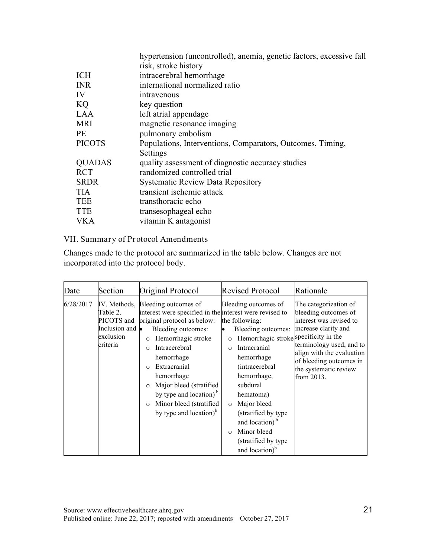| hypertension (uncontrolled), anemia, genetic factors, excessive fall |
|----------------------------------------------------------------------|
| risk, stroke history                                                 |
| intracerebral hemorrhage                                             |
| international normalized ratio                                       |
| intravenous                                                          |
| key question                                                         |
| left atrial appendage                                                |
| magnetic resonance imaging                                           |
| pulmonary embolism                                                   |
| Populations, Interventions, Comparators, Outcomes, Timing,           |
| Settings                                                             |
| quality assessment of diagnostic accuracy studies                    |
| randomized controlled trial                                          |
| <b>Systematic Review Data Repository</b>                             |
| transient ischemic attack                                            |
| transthoracic echo                                                   |
| transesophageal echo                                                 |
| vitamin K antagonist                                                 |
|                                                                      |

# VII. Summary of Protocol Amendments

Changes made to the protocol are summarized in the table below. Changes are not incorporated into the protocol body.

| Date      | Section                                                                                    | Original Protocol                                                                                                                                                                                                                                                                                                                                                                     | <b>Revised Protocol</b>                                                                                                                                                                                                                                                                                                                                                                 | Rationale                                                                                                                                                                                                                   |
|-----------|--------------------------------------------------------------------------------------------|---------------------------------------------------------------------------------------------------------------------------------------------------------------------------------------------------------------------------------------------------------------------------------------------------------------------------------------------------------------------------------------|-----------------------------------------------------------------------------------------------------------------------------------------------------------------------------------------------------------------------------------------------------------------------------------------------------------------------------------------------------------------------------------------|-----------------------------------------------------------------------------------------------------------------------------------------------------------------------------------------------------------------------------|
| 6/28/2017 | IV. Methods,<br>Table 2.<br>PICOTS and<br>Inclusion and $\bullet$<br>exclusion<br>criteria | Bleeding outcomes of<br>interest were specified in the interest were revised to<br>original protocol as below:<br>Bleeding outcomes:<br>Hemorrhagic stroke<br>$\circ$<br>Intracerebral<br>$\Omega$<br>hemorrhage<br>Extracranial<br>hemorrhage<br>Major bleed (stratified<br>$\circ$<br>by type and location) $b$<br>Minor bleed (stratified)<br>$\circ$<br>by type and location) $b$ | Bleeding outcomes of<br>the following:<br>Bleeding outcomes:<br>Hemorrhagic stroke specificity in the<br>$\circ$<br>Intracranial<br>$\Omega$<br>hemorrhage<br>(intracerebral<br>hemorrhage,<br>subdural<br>hematoma)<br>Major bleed<br>$\circ$<br>(stratified by type)<br>and location) <sup>b</sup><br>Minor bleed<br>$\bigcirc$<br>(stratified by type)<br>and location) <sup>b</sup> | The categorization of<br>bleeding outcomes of<br>interest was revised to<br>increase clarity and<br>terminology used, and to<br>align with the evaluation<br>of bleeding outcomes in<br>the systematic review<br>from 2013. |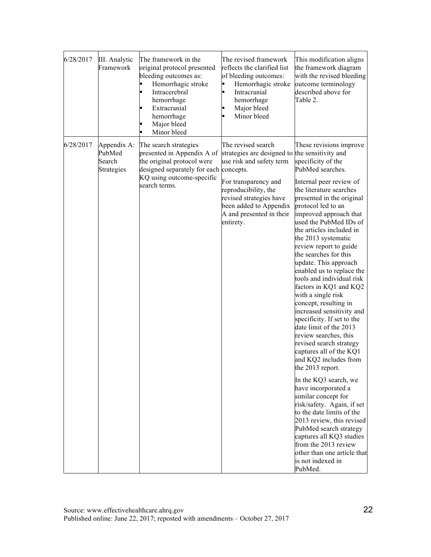| 6/28/2017 | III. Analytic<br>Framework                    | The framework in the<br>original protocol presented<br>bleeding outcomes as:<br>Hemorrhagic stroke<br>Intracerebral<br>hemorrhage<br>Extracranial<br>hemorrhage<br>Major bleed<br>Minor bleed<br>٠ | The revised framework<br>reflects the clarified list<br>of bleeding outcomes:<br>Hemorrhagic stroke<br>Intracranial<br>hemorrhage<br>Major bleed<br>Minor bleed                                                                                | This modification aligns<br>the framework diagram<br>with the revised bleeding<br>outcome terminology<br>described above for<br>Table 2.                                                                                                                                                                                                                                                                                                                                                                                                                                                                                                                                                                                                                                                                                                                                                                                                                                                                                      |
|-----------|-----------------------------------------------|----------------------------------------------------------------------------------------------------------------------------------------------------------------------------------------------------|------------------------------------------------------------------------------------------------------------------------------------------------------------------------------------------------------------------------------------------------|-------------------------------------------------------------------------------------------------------------------------------------------------------------------------------------------------------------------------------------------------------------------------------------------------------------------------------------------------------------------------------------------------------------------------------------------------------------------------------------------------------------------------------------------------------------------------------------------------------------------------------------------------------------------------------------------------------------------------------------------------------------------------------------------------------------------------------------------------------------------------------------------------------------------------------------------------------------------------------------------------------------------------------|
| 6/28/2017 | Appendix A:<br>PubMed<br>Search<br>Strategies | The search strategies<br>presented in Appendix A of<br>the original protocol were<br>designed separately for each concepts.<br>KQ using outcome-specific<br>search terms.                          | The revised search<br>strategies are designed to the sensitivity and<br>use risk and safety term<br>For transparency and<br>reproducibility, the<br>revised strategies have<br>been added to Appendix<br>A and presented in their<br>entirety. | These revisions improve<br>specificity of the<br>PubMed searches.<br>Internal peer review of<br>the literature searches<br>presented in the original<br>protocol led to an<br>improved approach that<br>used the PubMed IDs of<br>the articles included in<br>the 2013 systematic<br>review report to guide<br>the searches for this<br>update. This approach<br>enabled us to replace the<br>tools and individual risk<br>factors in KQ1 and KQ2<br>with a single risk<br>concept, resulting in<br>increased sensitivity and<br>specificity. If set to the<br>date limit of the 2013<br>review searches, this<br>revised search strategy<br>captures all of the KQ1<br>and KQ2 includes from<br>the 2013 report.<br>In the KQ3 search, we<br>have incorporated a<br>similar concept for<br>risk/safety. Again, if set<br>to the date limits of the<br>2013 review, this revised<br>PubMed search strategy<br>captures all KQ3 studies<br>from the 2013 review<br>other than one article that<br>is not indexed in<br>PubMed. |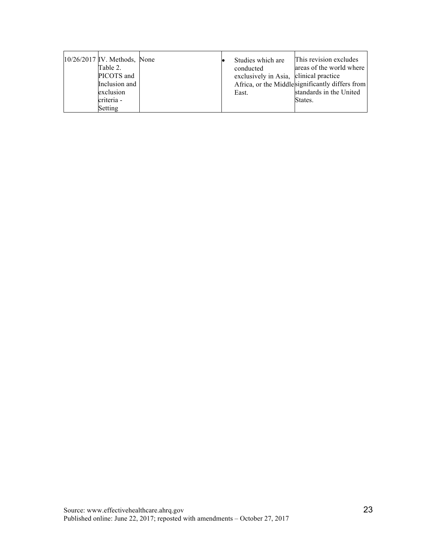|  | $10/26/2017$ IV. Methods, None<br>Table 2.<br>PICOTS and<br>Inclusion and<br>exclusion<br>criteria -<br>Setting |  |  | Studies which are<br>conducted<br>exclusively in Asia, clinical practice<br>East. | This revision excludes<br>areas of the world where<br>Africa, or the Middlesignificantly differs from<br>standards in the United<br>States. |
|--|-----------------------------------------------------------------------------------------------------------------|--|--|-----------------------------------------------------------------------------------|---------------------------------------------------------------------------------------------------------------------------------------------|
|--|-----------------------------------------------------------------------------------------------------------------|--|--|-----------------------------------------------------------------------------------|---------------------------------------------------------------------------------------------------------------------------------------------|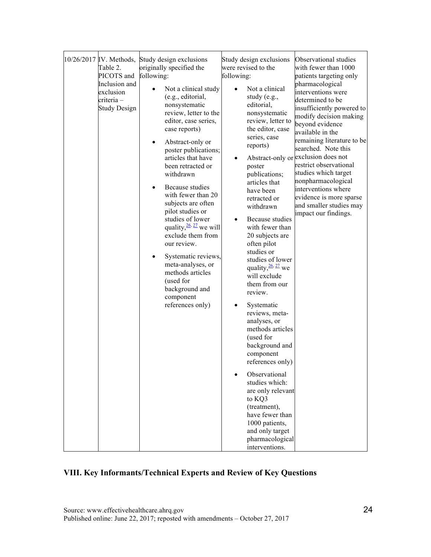|  | 10/26/2017 IV. Methods,<br>Table 2.<br>PICOTS and<br>Inclusion and<br>exclusion<br>criteria -<br><b>Study Design</b> | Study design exclusions<br>originally specified the<br>following:<br>Not a clinical study<br>(e.g., editorial,<br>nonsystematic<br>review, letter to the<br>editor, case series,<br>case reports)<br>Abstract-only or<br>poster publications;<br>articles that have<br>been retracted or<br>withdrawn<br>Because studies<br>with fewer than 20<br>subjects are often<br>pilot studies or<br>studies of lower<br>quality, $\frac{26}{27}$ we will<br>exclude them from<br>our review.<br>Systematic reviews,<br>meta-analyses, or<br>methods articles<br>(used for<br>background and<br>component<br>references only) | Study design exclusions<br>were revised to the<br>following:<br>Not a clinical<br>study (e.g.,<br>editorial,<br>nonsystematic<br>review, letter to<br>the editor, case<br>series, case<br>reports)<br>$\bullet$<br>poster<br>publications;<br>articles that<br>have been<br>retracted or<br>withdrawn<br>Because studies<br>with fewer than<br>20 subjects are<br>often pilot<br>studies or<br>studies of lower<br>quality, $\frac{26}{27}$ we<br>will exclude<br>them from our<br>review.<br>Systematic<br>$\bullet$<br>reviews, meta-<br>analyses, or<br>methods articles<br>(used for<br>background and<br>component<br>references only)<br>Observational<br>studies which:<br>are only relevant<br>to KQ3<br>(treatment),<br>have fewer than<br>1000 patients,<br>and only target<br>pharmacological<br>interventions. | Observational studies<br>with fewer than 1000<br>patients targeting only<br>pharmacological<br>interventions were<br>determined to be<br>insufficiently powered to<br>modify decision making<br>beyond evidence<br>available in the<br>remaining literature to be<br>searched. Note this<br>Abstract-only or exclusion does not<br>restrict observational<br>studies which target<br>nonpharmacological<br>interventions where<br>evidence is more sparse<br>and smaller studies may<br>impact our findings. |
|--|----------------------------------------------------------------------------------------------------------------------|----------------------------------------------------------------------------------------------------------------------------------------------------------------------------------------------------------------------------------------------------------------------------------------------------------------------------------------------------------------------------------------------------------------------------------------------------------------------------------------------------------------------------------------------------------------------------------------------------------------------|----------------------------------------------------------------------------------------------------------------------------------------------------------------------------------------------------------------------------------------------------------------------------------------------------------------------------------------------------------------------------------------------------------------------------------------------------------------------------------------------------------------------------------------------------------------------------------------------------------------------------------------------------------------------------------------------------------------------------------------------------------------------------------------------------------------------------|--------------------------------------------------------------------------------------------------------------------------------------------------------------------------------------------------------------------------------------------------------------------------------------------------------------------------------------------------------------------------------------------------------------------------------------------------------------------------------------------------------------|
|--|----------------------------------------------------------------------------------------------------------------------|----------------------------------------------------------------------------------------------------------------------------------------------------------------------------------------------------------------------------------------------------------------------------------------------------------------------------------------------------------------------------------------------------------------------------------------------------------------------------------------------------------------------------------------------------------------------------------------------------------------------|----------------------------------------------------------------------------------------------------------------------------------------------------------------------------------------------------------------------------------------------------------------------------------------------------------------------------------------------------------------------------------------------------------------------------------------------------------------------------------------------------------------------------------------------------------------------------------------------------------------------------------------------------------------------------------------------------------------------------------------------------------------------------------------------------------------------------|--------------------------------------------------------------------------------------------------------------------------------------------------------------------------------------------------------------------------------------------------------------------------------------------------------------------------------------------------------------------------------------------------------------------------------------------------------------------------------------------------------------|

# **VIII. Key Informants/Technical Experts and Review of Key Questions**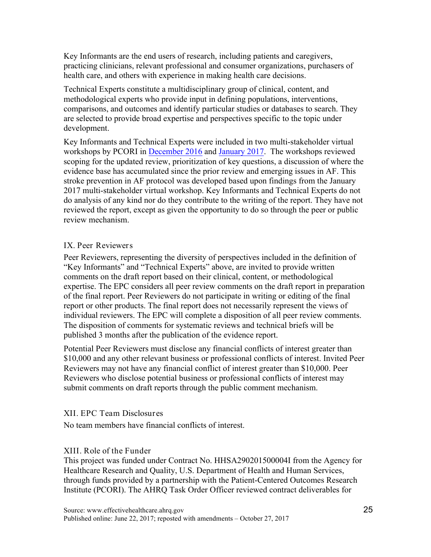Key Informants are the end users of research, including patients and caregivers, practicing clinicians, relevant professional and consumer organizations, purchasers of health care, and others with experience in making health care decisions.

Technical Experts constitute a multidisciplinary group of clinical, content, and methodological experts who provide input in defining populations, interventions, comparisons, and outcomes and identify particular studies or databases to search. They are selected to provide broad expertise and perspectives specific to the topic under development.

workshops by PCORI in December 2016 and January 2017. The workshops reviewed Key Informants and Technical Experts were included in two multi-stakeholder virtual scoping for the updated review, prioritization of key questions, a discussion of where the evidence base has accumulated since the prior review and emerging issues in AF. This stroke prevention in AF protocol was developed based upon findings from the January 2017 multi-stakeholder virtual workshop. Key Informants and Technical Experts do not do analysis of any kind nor do they contribute to the writing of the report. They have not reviewed the report, except as given the opportunity to do so through the peer or public review mechanism.

## IX. Peer Reviewer s

Peer Reviewers, representing the diversity of perspectives included in the definition of "Key Informants" and "Technical Experts" above, are invited to provide written comments on the draft report based on their clinical, content, or methodological expertise. The EPC considers all peer review comments on the draft report in preparation of the final report. Peer Reviewers do not participate in writing or editing of the final report or other products. The final report does not necessarily represent the views of individual reviewers. The EPC will complete a disposition of all peer review comments. The disposition of comments for systematic reviews and technical briefs will be published 3 months after the publication of the evidence report.

Potential Peer Reviewers must disclose any financial conflicts of interest greater than \$10,000 and any other relevant business or professional conflicts of interest. Invited Peer Reviewers may not have any financial conflict of interest greater than \$10,000. Peer Reviewers who disclose potential business or professional conflicts of interest may submit comments on draft reports through the public comment mechanism.

### XII. EPC Team Disclosures

No team members have financial conflicts of interest.

# XIII. Role of the Funder

 Institute (PCORI). The AHRQ Task Order Officer reviewed contract deliverables for This project was funded under Contract No. HHSA290201500004I from the Agency for Healthcare Research and Quality, U.S. Department of Health and Human Services, through funds provided by a partnership with the Patient-Centered Outcomes Research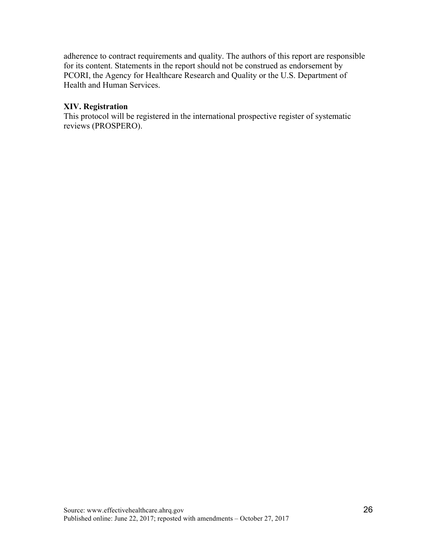adherence to contract requirements and quality. The authors of this report are responsible for its content. Statements in the report should not be construed as endorsement by PCORI, the Agency for Healthcare Research and Quality or the U.S. Department of Health and Human Services.

# **XIV. Registration**

 This protocol will be registered in the international prospective register of systematic reviews (PROSPERO).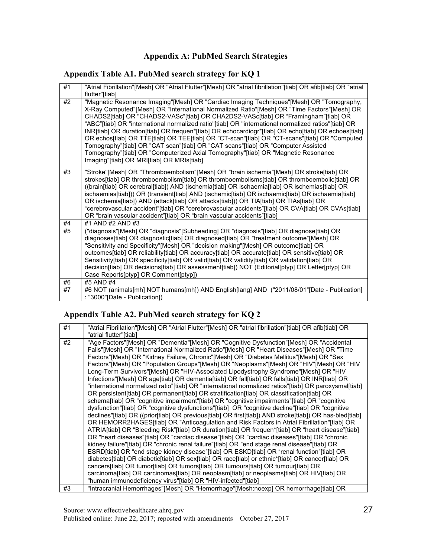# **Appendix A: PubMed Search Strategies**

## **Appendix Table A1. PubMed search strategy for KQ 1**

| #1 | "Atrial Fibrillation"[Mesh] OR "Atrial Flutter"[Mesh] OR "atrial fibrillation"[tiab] OR afib[tiab] OR "atrial<br>flutter"[tiab]                                                                                                                                                                                                                                                                                                                                                                                                                                                                                                                                                                                                                                                                                 |
|----|-----------------------------------------------------------------------------------------------------------------------------------------------------------------------------------------------------------------------------------------------------------------------------------------------------------------------------------------------------------------------------------------------------------------------------------------------------------------------------------------------------------------------------------------------------------------------------------------------------------------------------------------------------------------------------------------------------------------------------------------------------------------------------------------------------------------|
| #2 | "Magnetic Resonance Imaging"[Mesh] OR "Cardiac Imaging Techniques"[Mesh] OR "Tomography,<br>X-Ray Computed"[Mesh] OR "International Normalized Ratio"[Mesh] OR "Time Factors"[Mesh] OR<br>CHADS2[tiab] OR "CHADS2-VASc"[tiab] OR CHA2DS2-VASc[tiab] OR "Framingham"[tiab] OR<br>"ABC"[tiab] OR "international normalized ratio"[tiab] OR "international normalized ratios"[tiab] OR<br>INR[tiab] OR duration[tiab] OR frequen*[tiab] OR echocardiogr*[tiab] OR echo[tiab] OR echoes[tiab]<br>OR echos[tiab] OR TTE[tiab] OR TEE[tiab] OR "CT-scan"[tiab] OR "CT-scans"[tiab] OR "Computed<br>Tomography"[tiab] OR "CAT scan"[tiab] OR "CAT scans"[tiab] OR "Computer Assisted<br>Tomography"[tiab] OR "Computerized Axial Tomography"[tiab] OR "Magnetic Resonance<br>Imaging"[tiab] OR MRI[tiab] OR MRIs[tiab] |
| #3 | "Stroke"[Mesh] OR "Thromboembolism"[Mesh] OR "brain ischemia"[Mesh] OR stroke[tiab] OR<br>strokes[tiab] OR thromboembolism[tiab] OR thromboembolisms[tiab] OR thromboembolic[tiab] OR<br>((brain[tiab] OR cerebral[tiab]) AND (ischemia[tiab] OR ischaemia[tiab] OR ischemias[tiab] OR<br>ischaemias[tiab])) OR (transient[tiab] AND (ischemic[tiab] OR ischaemic[tiab] OR ischaemia[tiab]<br>OR ischemia[tiab]) AND (attack[tiab] OR attacks[tiab])) OR TIA[tiab] OR TIAs[tiab] OR<br>"cerebrovascular accident"[tiab] OR "cerebrovascular accidents"[tiab] OR CVA[tiab] OR CVAs[tiab]<br>OR "brain vascular accident"[tiab] OR "brain vascular accidents"[tiab]                                                                                                                                               |
| #4 | #1 AND #2 AND #3                                                                                                                                                                                                                                                                                                                                                                                                                                                                                                                                                                                                                                                                                                                                                                                                |
| #5 | ("diagnosis"[Mesh] OR "diagnosis"[Subheading] OR "diagnosis"[tiab] OR diagnose[tiab] OR<br>diagnoses[tiab] OR diagnostic[tiab] OR diagnosed[tiab] OR "treatment outcome"[Mesh] OR<br>"Sensitivity and Specificity"[Mesh] OR "decision making"[Mesh] OR outcome[tiab] OR<br>outcomes[tiab] OR reliability[tiab] OR accuracy[tiab] OR accurate[tiab] OR sensitive[tiab] OR<br>Sensitivity[tiab] OR specificity[tiab] OR valid[tiab] OR validity[tiab] OR validation[tiab] OR<br>decision[tiab] OR decisions[tiab] OR assessment[tiab]) NOT (Editorial[ptyp] OR Letter[ptyp] OR<br>Case Reports[ptyp] OR Comment[ptyp])                                                                                                                                                                                            |
| #6 | #5 AND #4                                                                                                                                                                                                                                                                                                                                                                                                                                                                                                                                                                                                                                                                                                                                                                                                       |
| #7 | #6 NOT (animals[mh] NOT humans[mh]) AND English[lang] AND ("2011/08/01"[Date - Publication]<br>: "3000"[Date - Publication])                                                                                                                                                                                                                                                                                                                                                                                                                                                                                                                                                                                                                                                                                    |

# **Appendix Table A2. PubMed search strategy for KQ 2**

| #1 | "Atrial Fibrillation"[Mesh] OR "Atrial Flutter"[Mesh] OR "atrial fibrillation"[tiab] OR afib[tiab] OR<br>"atrial flutter"[tiab]                                                                                                                                                                                                                                                                                                                                                                                                                                                                                                                                                                                                                                                                                                                                                                                                                                                                                                                                                                                                                                                                                                                                                                                                                                                                                                                                                                                                                                                                                                                                                                                                                                                                                                                                                                                                         |
|----|-----------------------------------------------------------------------------------------------------------------------------------------------------------------------------------------------------------------------------------------------------------------------------------------------------------------------------------------------------------------------------------------------------------------------------------------------------------------------------------------------------------------------------------------------------------------------------------------------------------------------------------------------------------------------------------------------------------------------------------------------------------------------------------------------------------------------------------------------------------------------------------------------------------------------------------------------------------------------------------------------------------------------------------------------------------------------------------------------------------------------------------------------------------------------------------------------------------------------------------------------------------------------------------------------------------------------------------------------------------------------------------------------------------------------------------------------------------------------------------------------------------------------------------------------------------------------------------------------------------------------------------------------------------------------------------------------------------------------------------------------------------------------------------------------------------------------------------------------------------------------------------------------------------------------------------------|
| #2 | "Age Factors"[Mesh] OR "Dementia"[Mesh] OR "Cognitive Dysfunction"[Mesh] OR "Accidental<br>Falls"[Mesh] OR "International Normalized Ratio"[Mesh] OR "Heart Diseases"[Mesh] OR "Time<br>Factors"[Mesh] OR "Kidney Failure, Chronic"[Mesh] OR "Diabetes Mellitus"[Mesh] OR "Sex<br>Factors"[Mesh] OR "Population Groups"[Mesh] OR "Neoplasms"[Mesh] OR "HIV"[Mesh] OR "HIV<br>Long-Term Survivors"[Mesh] OR "HIV-Associated Lipodystrophy Syndrome"[Mesh] OR "HIV<br>Infections"[Mesh] OR age[tiab] OR dementia[tiab] OR fall[tiab] OR falls[tiab] OR INR[tiab] OR<br>"international normalized ratio"[tiab] OR "international normalized ratios"[tiab] OR paroxysmal[tiab]<br>OR persistent[tiab] OR permanent[tiab] OR stratification[tiab] OR classification[tiab] OR<br>schema[tiab] OR "cognitive impairment"[tiab] OR "cognitive impairments"[tiab] OR "cognitive<br>dysfunction"[tiab] OR "cognitive dysfunctions"[tiab] OR "cognitive decline"[tiab] OR "cognitive<br>declines"[tiab] OR ((prior[tiab] OR previous[tiab] OR first[tiab]) AND stroke[tiab]) OR has-bled[tiab]<br>OR HEMORR2HAGES[tiab] OR "Anticoagulation and Risk Factors in Atrial Fibrillation"[tiab] OR<br>ATRIA[tiab] OR "Bleeding Risk"[tiab] OR duration[tiab] OR frequen*[tiab] OR "heart disease"[tiab]<br>OR "heart diseases"[tiab] OR "cardiac disease"[tiab] OR "cardiac diseases"[tiab] OR "chronic<br>kidney failure"[tiab] OR "chronic renal failure"[tiab] OR "end stage renal disease"[tiab] OR<br>ESRD[tiab] OR "end stage kidney disease"[tiab] OR ESKD[tiab] OR "renal function"[tiab] OR<br>diabetes[tiab] OR diabetic[tiab] OR sex[tiab] OR race[tiab] or ethnic*[tiab] OR cancer[tiab] OR<br>cancers[tiab] OR tumor[tiab] OR tumors[tiab] OR tumours[tiab] OR tumour[tiab] OR<br>carcinoma[tiab] OR carcinomas[tiab] OR neoplasm[tiab] or neoplasms[tiab] OR HIV[tiab] OR<br>"human immunodeficiency virus"[tiab] OR "HIV-infected"[tiab] |
| #3 | "Intracranial Hemorrhages"[Mesh] OR "Hemorrhage"[Mesh:noexp] OR hemorrhage[tiab] OR                                                                                                                                                                                                                                                                                                                                                                                                                                                                                                                                                                                                                                                                                                                                                                                                                                                                                                                                                                                                                                                                                                                                                                                                                                                                                                                                                                                                                                                                                                                                                                                                                                                                                                                                                                                                                                                     |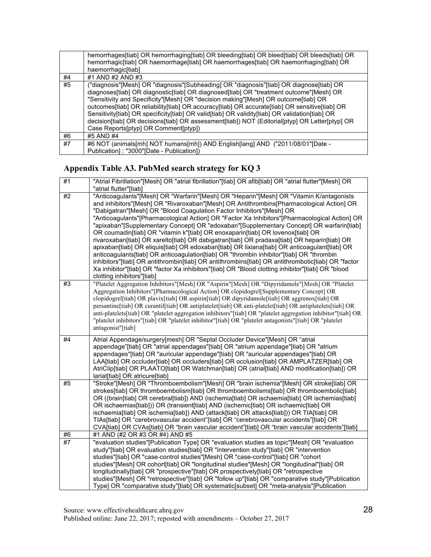|    | hemorrhages[tiab] OR hemorrhaging[tiab] OR bleeding[tiab] OR bleed[tiab] OR bleeds[tiab] OR<br>hemorrhagic[tiab] OR haemorrhage[tiab] OR haemorrhages[tiab] OR haemorrhaging[tiab] OR<br>haemorrhagic[tiab]                                                                                                                                                                                                                                                                                                                                                                                                          |
|----|----------------------------------------------------------------------------------------------------------------------------------------------------------------------------------------------------------------------------------------------------------------------------------------------------------------------------------------------------------------------------------------------------------------------------------------------------------------------------------------------------------------------------------------------------------------------------------------------------------------------|
| #4 | #1 AND #2 AND #3                                                                                                                                                                                                                                                                                                                                                                                                                                                                                                                                                                                                     |
| #5 | ("diagnosis"[Mesh] OR "diagnosis"[Subheading] OR "diagnosis"[tiab] OR diagnose[tiab] OR<br>diagnoses[tiab] OR diagnostic[tiab] OR diagnosed[tiab] OR "treatment outcome"[Mesh] OR<br>"Sensitivity and Specificity"[Mesh] OR "decision making"[Mesh] OR outcome[tiab] OR<br>outcomes[tiab] OR reliability[tiab] OR accuracy[tiab] OR accurate[tiab] OR sensitive[tiab] OR<br>Sensitivity[tiab] OR specificity[tiab] OR valid[tiab] OR validity[tiab] OR validation[tiab] OR<br>decision[tiab] OR decisions[tiab] OR assessment[tiab]) NOT (Editorial[ptyp] OR Letter[ptyp] OR<br>Case Reports[ptyp] OR Comment[ptyp]) |
| #6 | #5 AND #4                                                                                                                                                                                                                                                                                                                                                                                                                                                                                                                                                                                                            |
| #7 | #6 NOT (animals[mh] NOT humans[mh]) AND English[lang] AND ("2011/08/01"[Date -<br>Publication]: "3000"[Date - Publication])                                                                                                                                                                                                                                                                                                                                                                                                                                                                                          |

### **Appendix Table A3. PubMed search strategy for KQ 3**

| #1 | "Atrial Fibrillation"[Mesh] OR "atrial fibrillation"[tiab] OR afib[tiab] OR "atrial flutter"[Mesh] OR<br>"atrial flutter"[tiab]                                                                                                                                                                                                                                                                                                                                                                                                                                                                                                                                                                                                                                                                                                                                                                                                                                                                                                                                               |
|----|-------------------------------------------------------------------------------------------------------------------------------------------------------------------------------------------------------------------------------------------------------------------------------------------------------------------------------------------------------------------------------------------------------------------------------------------------------------------------------------------------------------------------------------------------------------------------------------------------------------------------------------------------------------------------------------------------------------------------------------------------------------------------------------------------------------------------------------------------------------------------------------------------------------------------------------------------------------------------------------------------------------------------------------------------------------------------------|
| #2 | "Anticoagulants"[Mesh] OR "Warfarin"[Mesh] OR "Heparin"[Mesh] OR "Vitamin K/antagonists<br>and inhibitors"[Mesh] OR "Rivaroxaban"[Mesh] OR Antithrombins[Pharmacological Action] OR<br>"Dabigatran"[Mesh] OR "Blood Coagulation Factor Inhibitors"[Mesh] OR<br>"Anticoagulants"[Pharmacological Action] OR "Factor Xa Inhibitors"[Pharmacological Action] OR<br>"apixaban"[Supplementary Concept] OR "edoxaban"[Supplementary Concept] OR warfarin[tiab]<br>OR coumadin[tiab] OR "vitamin k"[tiab] OR enoxaparin[tiab] OR lovenox[tiab] OR<br>rivaroxaban[tiab] OR xarelto[tiab] OR dabigatran[tiab] OR pradaxa[tiab] OR heparin[tiab] OR<br>apixaban[tiab] OR eliquis[tiab] OR edoxaban[tiab] OR lixiana[tiab] OR anticoagulant[tiab] OR<br>anticoagulants[tiab] OR anticoagulation[tiab] OR "thrombin inhibitor"[tiab] OR "thrombin<br>inhibitors"[tiab] OR antithrombin[tiab] OR antithrombins[tiab] OR antithrombotic[tiab] OR "factor<br>Xa inhibitor"[tiab] OR "factor Xa inhibitors"[tiab] OR "Blood clotting inhibitor"[tiab] OR "blood<br>clotting inhibitors"[tiab] |
| #3 | "Platelet Aggregation Inhibitors"[Mesh] OR "Aspirin"[Mesh] OR "Dipyridamole"[Mesh] OR "Platelet<br>Aggregation Inhibitors"[Pharmacological Action] OR clopidogrel[Supplementary Concept] OR<br>clopidogrel[tiab] OR plavix[tiab] OR aspirin[tiab] OR dipyridamole[tiab] OR aggrenox[tiab] OR<br>persantine[tiab] OR curantil[tiab] OR antiplatelet[tiab] OR anti-platelet[tiab] OR antiplatelets[tiab] OR<br>anti-platelets[tiab] OR "platelet aggregation inhibitors"[tiab] OR "platelet aggregation inhibitor"[tiab] OR<br>"platelet inhibitors"[tiab] OR "platelet inhibitor"[tiab] OR "platelet antagonists"[tiab] OR "platelet<br>antagonist"[tiab]                                                                                                                                                                                                                                                                                                                                                                                                                      |
| #4 | Atrial Appendage/surgery[mesh] OR "Septal Occluder Device"[Mesh] OR "atrial<br>appendage"[tiab] OR "atrial appendages"[tiab] OR "atrium appendage"[tiab] OR "atrium<br>appendages"[tiab] OR "auricular appendage"[tiab] OR "auricular appendages"[tiab] OR<br>LAA[tiab] OR occluder[tiab] OR occluders[tiab] OR occlusion[tiab] OR AMPLATZER[tiab] OR<br>AtriClip[tiab] OR PLAATO[tiab] OR Watchman[tiab] OR (atrial[tiab] AND modification[tiab]) OR<br>lariat[tiab] OR atricure[tiab]                                                                                                                                                                                                                                                                                                                                                                                                                                                                                                                                                                                       |
| #5 | "Stroke"[Mesh] OR "Thromboembolism"[Mesh] OR "brain ischemia"[Mesh] OR stroke[tiab] OR<br>strokes[tiab] OR thromboembolism[tiab] OR thromboembolisms[tiab] OR thromboembolic[tiab]<br>OR ((brain[tiab] OR cerebral[tiab]) AND (ischemia[tiab] OR ischaemia[tiab] OR ischemias[tiab]<br>OR ischaemias[tiab])) OR (transient[tiab] AND (ischemic[tiab] OR ischaemic[tiab] OR<br>ischaemia[tiab] OR ischemia[tiab]) AND (attack[tiab] OR attacks[tiab])) OR TIA[tiab] OR<br>TIAs[tiab] OR "cerebrovascular accident"[tiab] OR "cerebrovascular accidents"[tiab] OR<br>CVA[tiab] OR CVAs[tiab] OR "brain vascular accident"[tiab] OR "brain vascular accidents"[tiab]                                                                                                                                                                                                                                                                                                                                                                                                             |
| #6 | #1 AND (#2 OR #3 OR #4) AND #5                                                                                                                                                                                                                                                                                                                                                                                                                                                                                                                                                                                                                                                                                                                                                                                                                                                                                                                                                                                                                                                |
| #7 | "evaluation studies"[Publication Type] OR "evaluation studies as topic"[Mesh] OR "evaluation<br>study"[tiab] OR evaluation studies[tiab] OR "intervention study"[tiab] OR "intervention<br>studies"[tiab] OR "case-control studies"[Mesh] OR "case-control"[tiab] OR "cohort<br>studies"[Mesh] OR cohort[tiab] OR "longitudinal studies"[Mesh] OR "longitudinal"[tiab] OR<br>longitudinally[tiab] OR "prospective"[tiab] OR prospectively[tiab] OR "retrospective<br>studies"[Mesh] OR "retrospective"[tiab] OR "follow up"[tiab] OR "comparative study"[Publication<br>Type] OR "comparative study"[tiab] OR systematic[subset] OR "meta-analysis"[Publication                                                                                                                                                                                                                                                                                                                                                                                                               |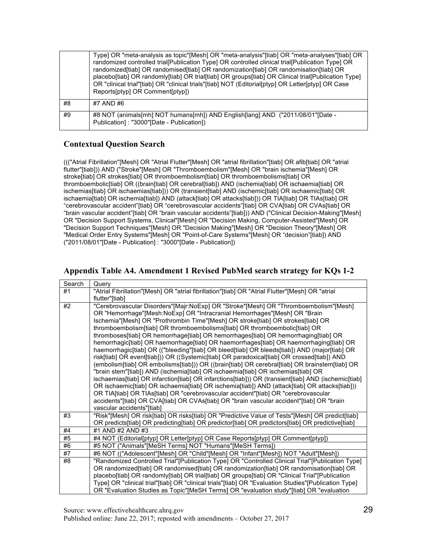|    | Type] OR "meta-analysis as topic"[Mesh] OR "meta-analysis"[tiab] OR "meta-analyses"[tiab] OR<br>randomized controlled trial[Publication Type] OR controlled clinical trial[Publication Type] OR<br>randomized[tiab] OR randomised[tiab] OR randomization[tiab] OR randomisation[tiab] OR<br>placebo[tiab] OR randomly[tiab] OR trial[tiab] OR groups[tiab] OR Clinical trial[Publication Type]<br>OR "clinical trial"[tiab] OR "clinical trials"[tiab] NOT (Editorial[ptyp] OR Letter[ptyp] OR Case<br>Reports[ptyp] OR Comment[ptyp]) |
|----|----------------------------------------------------------------------------------------------------------------------------------------------------------------------------------------------------------------------------------------------------------------------------------------------------------------------------------------------------------------------------------------------------------------------------------------------------------------------------------------------------------------------------------------|
| #8 | #7 AND #6                                                                                                                                                                                                                                                                                                                                                                                                                                                                                                                              |
| #9 | #8 NOT (animals[mh] NOT humans[mh]) AND English[lang] AND ("2011/08/01"[Date -<br>Publication]: "3000"[Date - Publication])                                                                                                                                                                                                                                                                                                                                                                                                            |

## **Contextual Question Search**

 ((("Atrial Fibrillation"[Mesh] OR "Atrial Flutter"[Mesh] OR "atrial fibrillation"[tiab] OR afib[tiab] OR "atrial flutter"[tiab])) AND ("Stroke"[Mesh] OR "Thromboembolism"[Mesh] OR "brain ischemia"[Mesh] OR stroke[tiab] OR strokes[tiab] OR thromboembolism[tiab] OR thromboembolisms[tiab] OR "cerebrovascular accident"[tiab] OR "cerebrovascular accidents"[tiab] OR CVA[tiab] OR CVAs[tiab] OR "brain vascular accident"[tiab] OR "brain vascular accidents"[tiab])) AND ("Clinical Decision-Making"[Mesh] OR "Decision Support Systems, Clinical"[Mesh] OR "Decision Making, Computer-Assisted"[Mesh] OR "Decision Support Techniques"[Mesh] OR "Decision Making"[Mesh] OR "Decision Theory"[Mesh] OR "Medical Order Entry Systems"[Mesh] OR "Point-of-Care Systems"[Mesh] OR "decision"[tiab]) AND ("2011/08/01"[Date - Publication] : "3000"[Date - Publication]) thromboembolic[tiab] OR ((brain[tiab] OR cerebral[tiab]) AND (ischemia[tiab] OR ischaemia[tiab] OR ischemias[tiab] OR ischaemias[tiab])) OR (transient[tiab] AND (ischemic[tiab] OR ischaemic[tiab] OR ischaemia[tiab] OR ischemia[tiab]) AND (attack[tiab] OR attacks[tiab])) OR TIA[tiab] OR TIAs[tiab] OR

### **Appendix Table A4. Amendment 1 Revised PubMed search strategy for KQs 1-2**

| Search | Query                                                                                                                 |
|--------|-----------------------------------------------------------------------------------------------------------------------|
| #1     | "Atrial Fibrillation"[Mesh] OR "atrial fibrillation"[tiab] OR "Atrial Flutter"[Mesh] OR "atrial                       |
|        | flutter"[tiab]                                                                                                        |
| #2     | "Cerebrovascular Disorders"[Majr:NoExp] OR "Stroke"[Mesh] OR "Thromboembolism"[Mesh]                                  |
|        | OR "Hemorrhage"[Mesh:NoExp] OR "Intracranial Hemorrhages"[Mesh] OR "Brain                                             |
|        | Ischemia"[Mesh] OR "Prothrombin Time"[Mesh] OR stroke[tiab] OR strokes[tiab] OR                                       |
|        | thromboembolism[tiab] OR thromboembolisms[tiab] OR thromboembolic[tiab] OR                                            |
|        | thromboses[tiab] OR hemorrhage[tiab] OR hemorrhages[tiab] OR hemorrhaging[tiab] OR                                    |
|        | hemorrhagic[tiab] OR haemorrhage[tiab] OR haemorrhages[tiab] OR haemorrhaging[tiab] OR                                |
|        | haemorrhagic[tiab] OR (("bleeding"[tiab] OR bleed[tiab] OR bleeds[tiab]) AND (major[tiab] OR                          |
|        | risk[tiab] OR event[tiab])) OR ((Systemic[tiab] OR paradoxical[tiab] OR crossed[tiab]) AND                            |
|        | (embolism[tiab] OR embolisms[tiab])) OR ((brain[tiab] OR cerebral[tiab] OR brainstem[tiab] OR                         |
|        | "brain stem"[tiab]) AND (ischemia[tiab] OR ischaemia[tiab] OR ischemias[tiab] OR                                      |
|        | ischaemias[tiab] OR infarction[tiab] OR infarctions[tiab])) OR (transient[tiab] AND (ischemic[tiab]                   |
|        | OR ischaemic[tiab] OR ischaemia[tiab] OR ischemia[tiab]) AND (attack[tiab] OR attacks[tiab]))                         |
|        | OR TIA[tiab] OR TIAs[tiab] OR "cerebrovascular accident"[tiab] OR "cerebrovascular                                    |
|        | accidents"[tiab] OR CVA[tiab] OR CVAs[tiab] OR "brain vascular accident"[tiab] OR "brain<br>vascular accidents"[tiab] |
| #3     | "Risk"[Mesh] OR risk[tiab] OR risks[tiab] OR "Predictive Value of Tests"[Mesh] OR predict[tiab]                       |
|        | OR predicts[tiab] OR predicting[tiab] OR predictor[tiab] OR predictors[tiab] OR predictive[tiab]                      |
| #4     | #1 AND #2 AND #3                                                                                                      |
| #5     | #4 NOT (Editorial[ptyp] OR Letter[ptyp] OR Case Reports[ptyp] OR Comment[ptyp])                                       |
| #6     | #5 NOT ("Animals"[MeSH Terms] NOT "Humans"[MeSH Terms])                                                               |
| #7     | #6 NOT (("Adolescent"[Mesh] OR "Child"[Mesh] OR "Infant"[Mesh]) NOT "Adult"[Mesh])                                    |
| #8     | "Randomized Controlled Trial"[Publication Type] OR "Controlled Clinical Trial"[Publication Type]                      |
|        | OR randomized[tiab] OR randomised[tiab] OR randomization[tiab] OR randomisation[tiab] OR                              |
|        | placebo[tiab] OR randomly[tiab] OR trial[tiab] OR groups[tiab] OR "Clinical Trial"[Publication                        |
|        | Type] OR "clinical trial"[tiab] OR "clinical trials"[tiab] OR "Evaluation Studies"[Publication Type]                  |
|        | OR "Evaluation Studies as Topic"[MeSH Terms] OR "evaluation study"[tiab] OR "evaluation                               |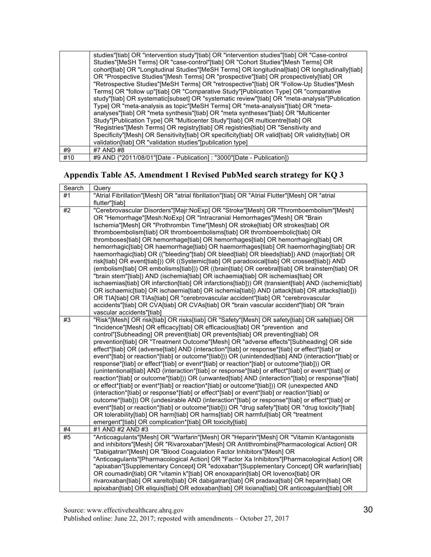|     | studies"[tiab] OR "intervention study"[tiab] OR "intervention studies"[tiab] OR "Case-control<br>Studies"[MeSH Terms] OR "case-control"[tiab] OR "Cohort Studies"[Mesh Terms] OR<br>cohort[tiab] OR "Longitudinal Studies"[MeSH Terms] OR longitudinal[tiab] OR longitudinally[tiab]<br>OR "Prospective Studies"[Mesh Terms] OR "prospective"[tiab] OR prospectively[tiab] OR<br>"Retrospective Studies"[MeSH Terms] OR "retrospective"[tiab] OR "Follow-Up Studies"[Mesh<br>Terms] OR "follow up"[tiab] OR "Comparative Study"[Publication Type] OR "comparative                                                     |
|-----|-----------------------------------------------------------------------------------------------------------------------------------------------------------------------------------------------------------------------------------------------------------------------------------------------------------------------------------------------------------------------------------------------------------------------------------------------------------------------------------------------------------------------------------------------------------------------------------------------------------------------|
|     | study"[tiab] OR systematic[subset] OR "systematic review"[tiab] OR "meta-analysis"[Publication<br>Type] OR "meta-analysis as topic"[MeSH Terms] OR "meta-analysis"[tiab] OR "meta-<br>analyses"[tiab] OR "meta synthesis"[tiab] OR "meta syntheses"[tiab] OR "Multicenter<br>Study"[Publication Type] OR "Multicenter Study"[tiab] OR multicentre[tiab] OR<br>"Registries" [Mesh Terms] OR registry [tiab] OR registries [tiab] OR "Sensitivity and<br>Specificity"[Mesh] OR Sensitivity[tiab] OR specificity[tiab] OR valid[tiab] OR validity[tiab] OR<br>validation[tiab] OR "validation studies"[publication type] |
| #9  | #7 AND #8                                                                                                                                                                                                                                                                                                                                                                                                                                                                                                                                                                                                             |
| #10 | #9 AND ("2011/08/01" [Date - Publication]: "3000" [Date - Publication])                                                                                                                                                                                                                                                                                                                                                                                                                                                                                                                                               |

### **Appendix Table A5. Amendment 1 Revised PubMed search strategy for KQ 3**

| Search | Query                                                                                               |
|--------|-----------------------------------------------------------------------------------------------------|
| #1     | "Atrial Fibrillation"[Mesh] OR "atrial fibrillation"[tiab] OR "Atrial Flutter"[Mesh] OR "atrial     |
|        | flutter"[tiab]                                                                                      |
| #2     | "Cerebrovascular Disorders"[Majr:NoExp] OR "Stroke"[Mesh] OR "Thromboembolism"[Mesh]                |
|        | OR "Hemorrhage"[Mesh:NoExp] OR "Intracranial Hemorrhages"[Mesh] OR "Brain                           |
|        | Ischemia"[Mesh] OR "Prothrombin Time"[Mesh] OR stroke[tiab] OR strokes[tiab] OR                     |
|        | thromboembolism[tiab] OR thromboembolisms[tiab] OR thromboembolic[tiab] OR                          |
|        | thromboses[tiab] OR hemorrhage[tiab] OR hemorrhages[tiab] OR hemorrhaging[tiab] OR                  |
|        | hemorrhagic[tiab] OR haemorrhage[tiab] OR haemorrhages[tiab] OR haemorrhaging[tiab] OR              |
|        | haemorrhagic[tiab] OR (("bleeding"[tiab] OR bleed[tiab] OR bleeds[tiab]) AND (major[tiab] OR        |
|        | risk[tiab] OR event[tiab])) OR ((Systemic[tiab] OR paradoxical[tiab] OR crossed[tiab]) AND          |
|        | (embolism[tiab] OR embolisms[tiab])) OR ((brain[tiab] OR cerebral[tiab] OR brainstem[tiab] OR       |
|        | "brain stem"[tiab]) AND (ischemia[tiab] OR ischaemia[tiab] OR ischemias[tiab] OR                    |
|        | ischaemias[tiab] OR infarction[tiab] OR infarctions[tiab])) OR (transient[tiab] AND (ischemic[tiab] |
|        | OR ischaemic[tiab] OR ischaemia[tiab] OR ischemia[tiab]) AND (attack[tiab] OR attacks[tiab]))       |
|        | OR TIA[tiab] OR TIAs[tiab] OR "cerebrovascular accident"[tiab] OR "cerebrovascular                  |
|        | accidents"[tiab] OR CVA[tiab] OR CVAs[tiab] OR "brain vascular accident"[tiab] OR "brain            |
|        | vascular accidents"[tiab]                                                                           |
| #3     | "Risk"[Mesh] OR risk[tiab] OR risks[tiab] OR "Safety"[Mesh] OR safety[tiab] OR safe[tiab] OR        |
|        | "Incidence"[Mesh] OR efficacy[tiab] OR efficacious[tiab] OR "prevention and                         |
|        | control"[Subheading] OR prevent[tiab] OR prevents[tiab] OR preventing[tiab] OR                      |
|        | prevention[tiab] OR "Treatment Outcome"[Mesh] OR "adverse effects"[Subheading] OR side              |
|        | effect*[tiab] OR (adverse[tiab] AND (interaction*[tiab] or response*[tiab] or effect*[tiab] or      |
|        | event*[tiab] or reaction*[tiab] or outcome*[tiab])) OR (unintended[tiab] AND (interaction*[tiab] or |
|        | response*[tiab] or effect*[tiab] or event*[tiab] or reaction*[tiab] or outcome*[tiab])) OR          |
|        | (unintentional[tiab] AND (interaction*[tiab] or response*[tiab] or effect*[tiab] or event*[tiab] or |
|        | reaction*[tiab] or outcome*[tiab]) OR (unwanted[tiab] AND (interaction*[tiab] or response*[tiab]    |
|        | or effect*[tiab] or event*[tiab] or reaction*[tiab] or outcome*[tiab])) OR (unexpected AND          |
|        | (interaction*[tiab] or response*[tiab] or effect*[tiab] or event*[tiab] or reaction*[tiab] or       |
|        | outcome*[tiab])) OR (undesirable AND (interaction*[tiab] or response*[tiab] or effect*[tiab] or     |
|        | event*[tiab] or reaction*[tiab] or outcome*[tiab])) OR "drug safety"[tiab] OR "drug toxicity"[tiab] |
|        | OR tolerability[tiab] OR harm[tiab] OR harms[tiab] OR harmful[tiab] OR "treatment                   |
|        | emergent"[tiab] OR complication*[tiab] OR toxicity[tiab]                                            |
| #4     | #1 AND #2 AND #3                                                                                    |
| #5     | "Anticoagulants"[Mesh] OR "Warfarin"[Mesh] OR "Heparin"[Mesh] OR "Vitamin K/antagonists             |
|        | and inhibitors"[Mesh] OR "Rivaroxaban"[Mesh] OR Antithrombins[Pharmacological Action] OR            |
|        | "Dabigatran"[Mesh] OR "Blood Coagulation Factor Inhibitors"[Mesh] OR                                |
|        | "Anticoagulants"[Pharmacological Action] OR "Factor Xa Inhibitors"[Pharmacological Action] OR       |
|        | "apixaban"[Supplementary Concept] OR "edoxaban"[Supplementary Concept] OR warfarin[tiab]            |
|        | OR coumadin[tiab] OR "vitamin k"[tiab] OR enoxaparin[tiab] OR lovenox[tiab] OR                      |
|        | rivaroxaban[tiab] OR xarelto[tiab] OR dabigatran[tiab] OR pradaxa[tiab] OR heparin[tiab] OR         |
|        | apixaban[tiab] OR eliquis[tiab] OR edoxaban[tiab] OR lixiana[tiab] OR anticoagulant[tiab] OR        |